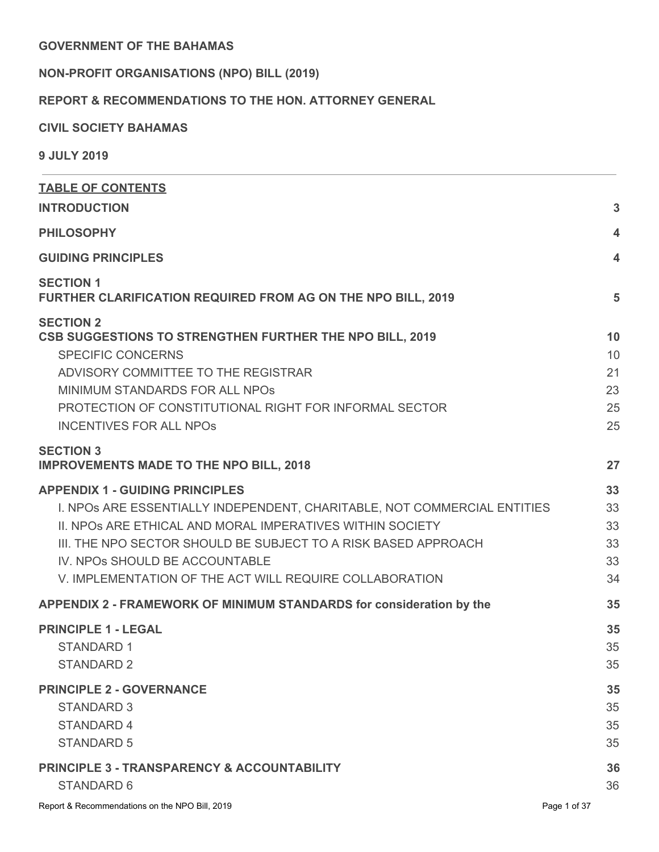### **GOVERNMENT OF THE BAHAMAS**

# **NON-PROFIT ORGANISATIONS (NPO) BILL (2019)**

# **REPORT & RECOMMENDATIONS TO THE HON. ATTORNEY GENERAL**

### **CIVIL SOCIETY BAHAMAS**

**9 JULY 2019**

| <b>TABLE OF CONTENTS</b>                                                                                                                                                                                                                                                                                                                       |                                  |
|------------------------------------------------------------------------------------------------------------------------------------------------------------------------------------------------------------------------------------------------------------------------------------------------------------------------------------------------|----------------------------------|
| <b>INTRODUCTION</b>                                                                                                                                                                                                                                                                                                                            | 3                                |
| <b>PHILOSOPHY</b>                                                                                                                                                                                                                                                                                                                              | 4                                |
| <b>GUIDING PRINCIPLES</b>                                                                                                                                                                                                                                                                                                                      | 4                                |
| <b>SECTION 1</b><br>FURTHER CLARIFICATION REQUIRED FROM AG ON THE NPO BILL, 2019                                                                                                                                                                                                                                                               | 5                                |
| <b>SECTION 2</b><br>CSB SUGGESTIONS TO STRENGTHEN FURTHER THE NPO BILL, 2019<br><b>SPECIFIC CONCERNS</b><br>ADVISORY COMMITTEE TO THE REGISTRAR<br>MINIMUM STANDARDS FOR ALL NPOS<br>PROTECTION OF CONSTITUTIONAL RIGHT FOR INFORMAL SECTOR<br><b>INCENTIVES FOR ALL NPOS</b>                                                                  | 10<br>10<br>21<br>23<br>25<br>25 |
| <b>SECTION 3</b><br><b>IMPROVEMENTS MADE TO THE NPO BILL, 2018</b>                                                                                                                                                                                                                                                                             | 27                               |
| <b>APPENDIX 1 - GUIDING PRINCIPLES</b><br>I. NPOS ARE ESSENTIALLY INDEPENDENT, CHARITABLE, NOT COMMERCIAL ENTITIES<br>II. NPOS ARE ETHICAL AND MORAL IMPERATIVES WITHIN SOCIETY<br>III. THE NPO SECTOR SHOULD BE SUBJECT TO A RISK BASED APPROACH<br>IV. NPOS SHOULD BE ACCOUNTABLE<br>V. IMPLEMENTATION OF THE ACT WILL REQUIRE COLLABORATION | 33<br>33<br>33<br>33<br>33<br>34 |
| APPENDIX 2 - FRAMEWORK OF MINIMUM STANDARDS for consideration by the                                                                                                                                                                                                                                                                           | 35                               |
| <b>PRINCIPLE 1 - LEGAL</b><br><b>STANDARD 1</b><br><b>STANDARD 2</b>                                                                                                                                                                                                                                                                           | 35<br>35<br>35                   |
| <b>PRINCIPLE 2 - GOVERNANCE</b><br><b>STANDARD 3</b><br><b>STANDARD 4</b><br><b>STANDARD 5</b>                                                                                                                                                                                                                                                 | 35<br>35<br>35<br>35             |
| <b>PRINCIPLE 3 - TRANSPARENCY &amp; ACCOUNTABILITY</b><br><b>STANDARD 6</b>                                                                                                                                                                                                                                                                    | 36<br>36                         |
| Report & Recommendations on the NPO Bill, 2019                                                                                                                                                                                                                                                                                                 | Page 1 of 37                     |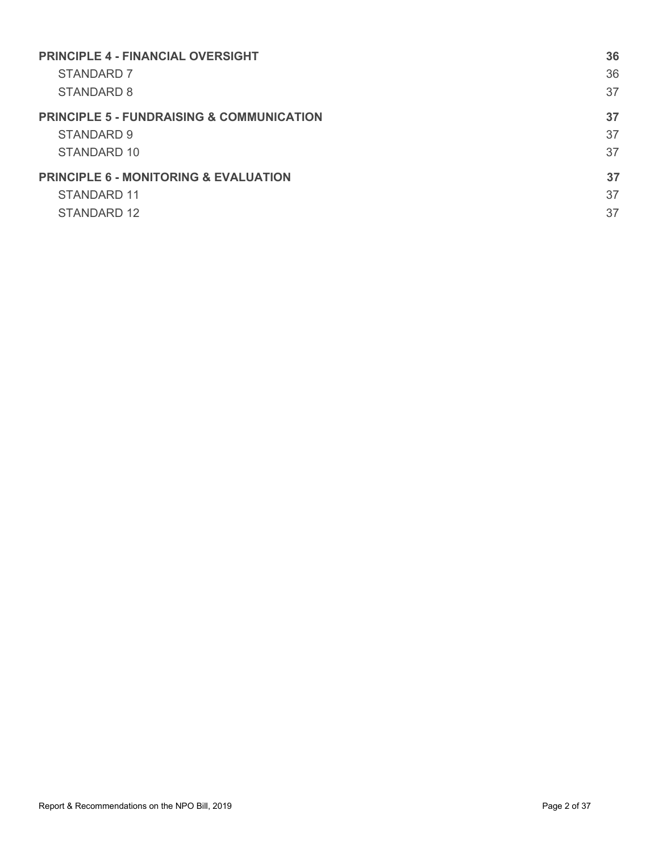| <b>PRINCIPLE 4 - FINANCIAL OVERSIGHT</b>             | 36 |
|------------------------------------------------------|----|
| STANDARD 7                                           | 36 |
| STANDARD 8                                           | 37 |
| <b>PRINCIPLE 5 - FUNDRAISING &amp; COMMUNICATION</b> | 37 |
| STANDARD 9                                           | 37 |
| STANDARD 10                                          | 37 |
| <b>PRINCIPLE 6 - MONITORING &amp; EVALUATION</b>     | 37 |
| STANDARD 11                                          | 37 |
| STANDARD 12                                          | 37 |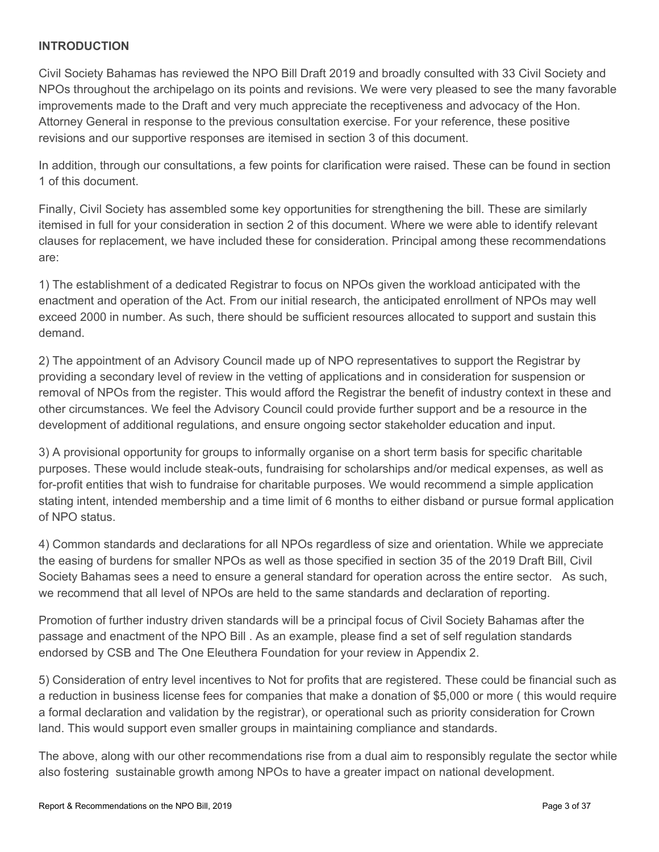### <span id="page-2-0"></span>**INTRODUCTION**

Civil Society Bahamas has reviewed the NPO Bill Draft 2019 and broadly consulted with 33 Civil Society and NPOs throughout the archipelago on its points and revisions. We were very pleased to see the many favorable improvements made to the Draft and very much appreciate the receptiveness and advocacy of the Hon. Attorney General in response to the previous consultation exercise. For your reference, these positive revisions and our supportive responses are itemised in section 3 of this document.

In addition, through our consultations, a few points for clarification were raised. These can be found in section 1 of this document.

Finally, Civil Society has assembled some key opportunities for strengthening the bill. These are similarly itemised in full for your consideration in section 2 of this document. Where we were able to identify relevant clauses for replacement, we have included these for consideration. Principal among these recommendations are:

1) The establishment of a dedicated Registrar to focus on NPOs given the workload anticipated with the enactment and operation of the Act. From our initial research, the anticipated enrollment of NPOs may well exceed 2000 in number. As such, there should be sufficient resources allocated to support and sustain this demand.

2) The appointment of an Advisory Council made up of NPO representatives to support the Registrar by providing a secondary level of review in the vetting of applications and in consideration for suspension or removal of NPOs from the register. This would afford the Registrar the benefit of industry context in these and other circumstances. We feel the Advisory Council could provide further support and be a resource in the development of additional regulations, and ensure ongoing sector stakeholder education and input.

3) A provisional opportunity for groups to informally organise on a short term basis for specific charitable purposes. These would include steak-outs, fundraising for scholarships and/or medical expenses, as well as for-profit entities that wish to fundraise for charitable purposes. We would recommend a simple application stating intent, intended membership and a time limit of 6 months to either disband or pursue formal application of NPO status.

4) Common standards and declarations for all NPOs regardless of size and orientation. While we appreciate the easing of burdens for smaller NPOs as well as those specified in section 35 of the 2019 Draft Bill, Civil Society Bahamas sees a need to ensure a general standard for operation across the entire sector. As such, we recommend that all level of NPOs are held to the same standards and declaration of reporting.

Promotion of further industry driven standards will be a principal focus of Civil Society Bahamas after the passage and enactment of the NPO Bill . As an example, please find a set of self regulation standards endorsed by CSB and The One Eleuthera Foundation for your review in Appendix 2.

5) Consideration of entry level incentives to Not for profits that are registered. These could be financial such as a reduction in business license fees for companies that make a donation of \$5,000 or more ( this would require a formal declaration and validation by the registrar), or operational such as priority consideration for Crown land. This would support even smaller groups in maintaining compliance and standards.

The above, along with our other recommendations rise from a dual aim to responsibly regulate the sector while also fostering sustainable growth among NPOs to have a greater impact on national development.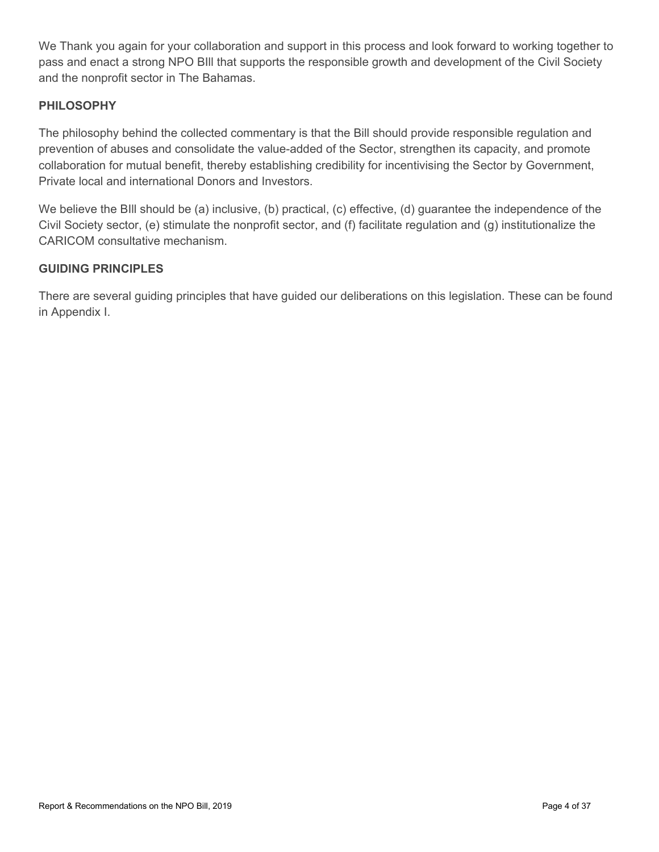We Thank you again for your collaboration and support in this process and look forward to working together to pass and enact a strong NPO BIll that supports the responsible growth and development of the Civil Society and the nonprofit sector in The Bahamas.

### <span id="page-3-0"></span>**PHILOSOPHY**

The philosophy behind the collected commentary is that the Bill should provide responsible regulation and prevention of abuses and consolidate the value-added of the Sector, strengthen its capacity, and promote collaboration for mutual benefit, thereby establishing credibility for incentivising the Sector by Government, Private local and international Donors and Investors.

We believe the BIII should be (a) inclusive, (b) practical, (c) effective, (d) quarantee the independence of the Civil Society sector, (e) stimulate the nonprofit sector, and (f) facilitate regulation and (g) institutionalize the CARICOM consultative mechanism.

### <span id="page-3-1"></span>**GUIDING PRINCIPLES**

There are several guiding principles that have guided our deliberations on this legislation. These can be found in Appendix I.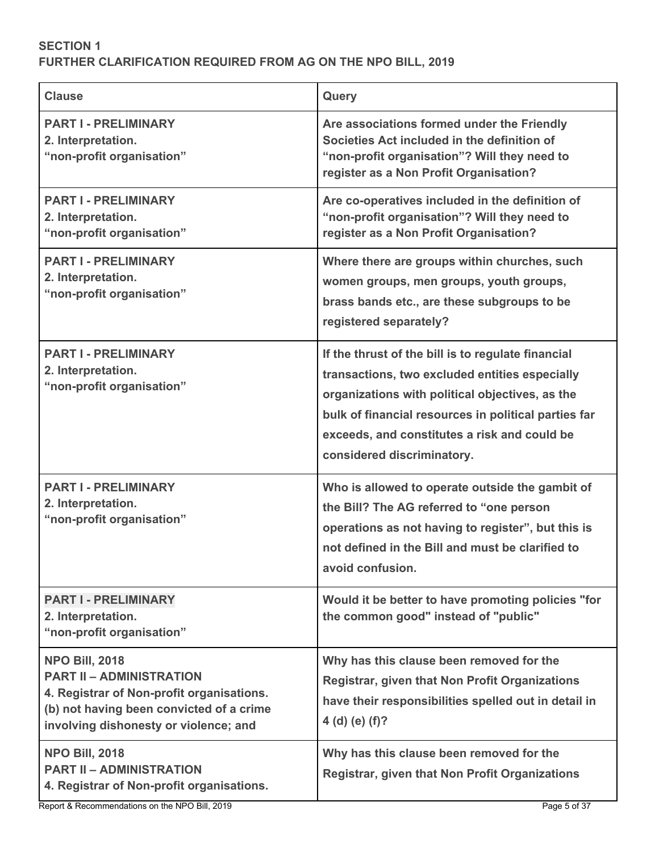## <span id="page-4-0"></span>**SECTION 1 FURTHER CLARIFICATION REQUIRED FROM AG ON THE NPO BILL, 2019**

| <b>Clause</b>                                                                                                                                                                              | Query                                                                                                                                                                                                                                                                                         |
|--------------------------------------------------------------------------------------------------------------------------------------------------------------------------------------------|-----------------------------------------------------------------------------------------------------------------------------------------------------------------------------------------------------------------------------------------------------------------------------------------------|
| <b>PART I - PRELIMINARY</b><br>2. Interpretation.<br>"non-profit organisation"                                                                                                             | Are associations formed under the Friendly<br>Societies Act included in the definition of<br>"non-profit organisation"? Will they need to<br>register as a Non Profit Organisation?                                                                                                           |
| <b>PART I - PRELIMINARY</b><br>2. Interpretation.<br>"non-profit organisation"                                                                                                             | Are co-operatives included in the definition of<br>"non-profit organisation"? Will they need to<br>register as a Non Profit Organisation?                                                                                                                                                     |
| <b>PART I - PRELIMINARY</b><br>2. Interpretation.<br>"non-profit organisation"                                                                                                             | Where there are groups within churches, such<br>women groups, men groups, youth groups,<br>brass bands etc., are these subgroups to be<br>registered separately?                                                                                                                              |
| <b>PART I - PRELIMINARY</b><br>2. Interpretation.<br>"non-profit organisation"                                                                                                             | If the thrust of the bill is to regulate financial<br>transactions, two excluded entities especially<br>organizations with political objectives, as the<br>bulk of financial resources in political parties far<br>exceeds, and constitutes a risk and could be<br>considered discriminatory. |
| <b>PART I - PRELIMINARY</b><br>2. Interpretation.<br>"non-profit organisation"                                                                                                             | Who is allowed to operate outside the gambit of<br>the Bill? The AG referred to "one person<br>operations as not having to register", but this is<br>not defined in the Bill and must be clarified to<br>avoid confusion.                                                                     |
| <b>PART I - PRELIMINARY</b><br>2. Interpretation.<br>"non-profit organisation"                                                                                                             | Would it be better to have promoting policies "for<br>the common good" instead of "public"                                                                                                                                                                                                    |
| <b>NPO Bill, 2018</b><br><b>PART II - ADMINISTRATION</b><br>4. Registrar of Non-profit organisations.<br>(b) not having been convicted of a crime<br>involving dishonesty or violence; and | Why has this clause been removed for the<br><b>Registrar, given that Non Profit Organizations</b><br>have their responsibilities spelled out in detail in<br>4 (d) (e) $(f)?$                                                                                                                 |
| <b>NPO Bill, 2018</b><br><b>PART II - ADMINISTRATION</b><br>4. Registrar of Non-profit organisations.                                                                                      | Why has this clause been removed for the<br><b>Registrar, given that Non Profit Organizations</b>                                                                                                                                                                                             |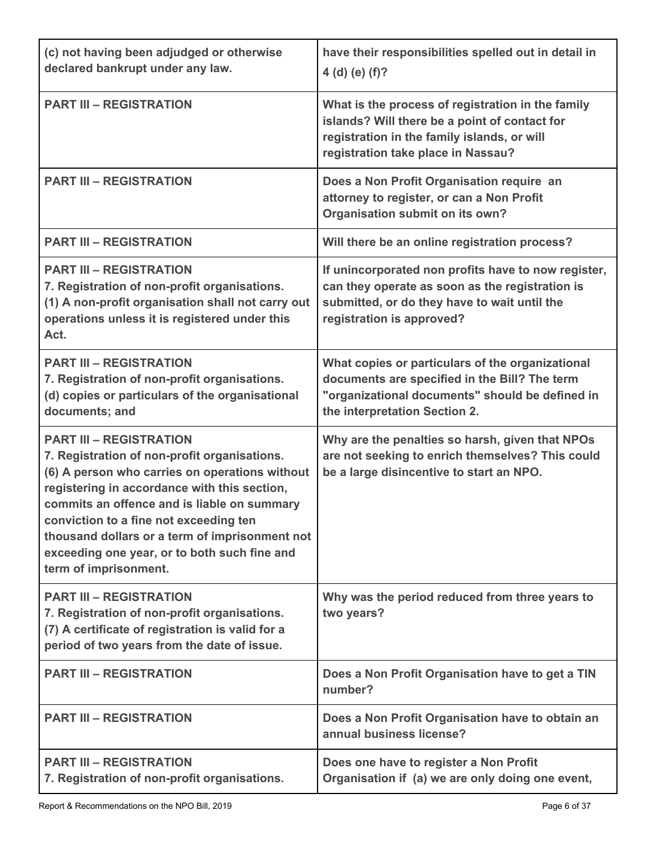| (c) not having been adjudged or otherwise<br>declared bankrupt under any law.                                                                                                                                                                                                                                                                                                                        | have their responsibilities spelled out in detail in<br>4 (d) (e) $(f)?$                                                                                                                |
|------------------------------------------------------------------------------------------------------------------------------------------------------------------------------------------------------------------------------------------------------------------------------------------------------------------------------------------------------------------------------------------------------|-----------------------------------------------------------------------------------------------------------------------------------------------------------------------------------------|
| <b>PART III - REGISTRATION</b>                                                                                                                                                                                                                                                                                                                                                                       | What is the process of registration in the family<br>islands? Will there be a point of contact for<br>registration in the family islands, or will<br>registration take place in Nassau? |
| <b>PART III - REGISTRATION</b>                                                                                                                                                                                                                                                                                                                                                                       | Does a Non Profit Organisation require an<br>attorney to register, or can a Non Profit<br>Organisation submit on its own?                                                               |
| <b>PART III - REGISTRATION</b>                                                                                                                                                                                                                                                                                                                                                                       | Will there be an online registration process?                                                                                                                                           |
| <b>PART III - REGISTRATION</b><br>7. Registration of non-profit organisations.<br>(1) A non-profit organisation shall not carry out<br>operations unless it is registered under this<br>Act.                                                                                                                                                                                                         | If unincorporated non profits have to now register,<br>can they operate as soon as the registration is<br>submitted, or do they have to wait until the<br>registration is approved?     |
| <b>PART III - REGISTRATION</b><br>7. Registration of non-profit organisations.<br>(d) copies or particulars of the organisational<br>documents; and                                                                                                                                                                                                                                                  | What copies or particulars of the organizational<br>documents are specified in the Bill? The term<br>"organizational documents" should be defined in<br>the interpretation Section 2.   |
| <b>PART III - REGISTRATION</b><br>7. Registration of non-profit organisations.<br>(6) A person who carries on operations without<br>registering in accordance with this section,<br>commits an offence and is liable on summary<br>conviction to a fine not exceeding ten<br>thousand dollars or a term of imprisonment not<br>exceeding one year, or to both such fine and<br>term of imprisonment. | Why are the penalties so harsh, given that NPOs<br>are not seeking to enrich themselves? This could<br>be a large disincentive to start an NPO.                                         |
| <b>PART III - REGISTRATION</b><br>7. Registration of non-profit organisations.<br>(7) A certificate of registration is valid for a<br>period of two years from the date of issue.                                                                                                                                                                                                                    | Why was the period reduced from three years to<br>two years?                                                                                                                            |
| <b>PART III - REGISTRATION</b>                                                                                                                                                                                                                                                                                                                                                                       | Does a Non Profit Organisation have to get a TIN<br>number?                                                                                                                             |
| <b>PART III - REGISTRATION</b>                                                                                                                                                                                                                                                                                                                                                                       | Does a Non Profit Organisation have to obtain an<br>annual business license?                                                                                                            |
| <b>PART III - REGISTRATION</b><br>7. Registration of non-profit organisations.                                                                                                                                                                                                                                                                                                                       | Does one have to register a Non Profit<br>Organisation if (a) we are only doing one event,                                                                                              |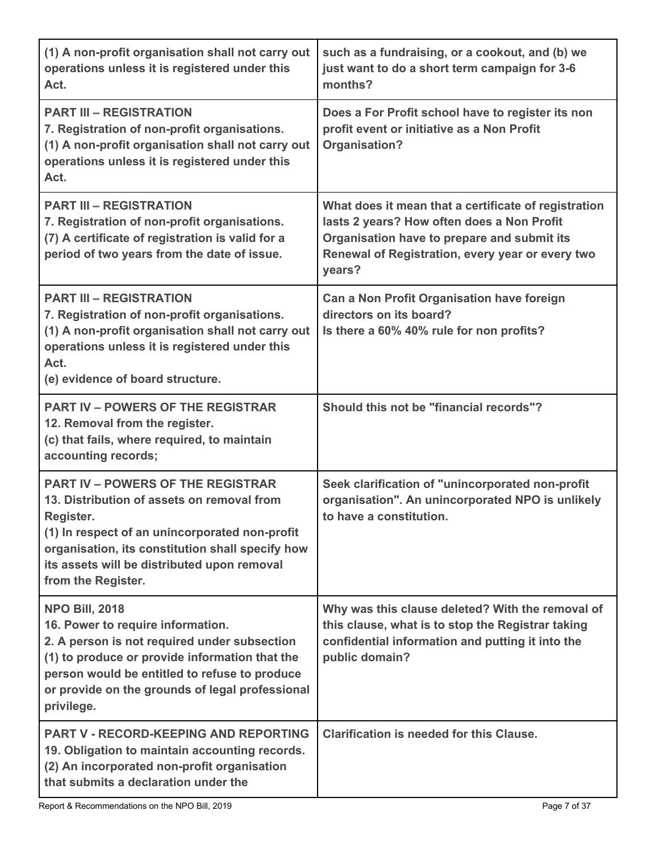| (1) A non-profit organisation shall not carry out<br>operations unless it is registered under this<br>Act.                                                                                                                                                                     | such as a fundraising, or a cookout, and (b) we<br>just want to do a short term campaign for 3-6<br>months?                                                                                                     |
|--------------------------------------------------------------------------------------------------------------------------------------------------------------------------------------------------------------------------------------------------------------------------------|-----------------------------------------------------------------------------------------------------------------------------------------------------------------------------------------------------------------|
| <b>PART III - REGISTRATION</b><br>7. Registration of non-profit organisations.<br>(1) A non-profit organisation shall not carry out<br>operations unless it is registered under this<br>Act.                                                                                   | Does a For Profit school have to register its non<br>profit event or initiative as a Non Profit<br>Organisation?                                                                                                |
| <b>PART III - REGISTRATION</b><br>7. Registration of non-profit organisations.<br>(7) A certificate of registration is valid for a<br>period of two years from the date of issue.                                                                                              | What does it mean that a certificate of registration<br>lasts 2 years? How often does a Non Profit<br>Organisation have to prepare and submit its<br>Renewal of Registration, every year or every two<br>years? |
| <b>PART III - REGISTRATION</b><br>7. Registration of non-profit organisations.<br>(1) A non-profit organisation shall not carry out<br>operations unless it is registered under this<br>Act.<br>(e) evidence of board structure.                                               | Can a Non Profit Organisation have foreign<br>directors on its board?<br>Is there a 60% 40% rule for non profits?                                                                                               |
| <b>PART IV - POWERS OF THE REGISTRAR</b><br>12. Removal from the register.<br>(c) that fails, where required, to maintain<br>accounting records;                                                                                                                               | Should this not be "financial records"?                                                                                                                                                                         |
| <b>PART IV - POWERS OF THE REGISTRAR</b><br>13. Distribution of assets on removal from<br>Register.<br>(1) In respect of an unincorporated non-profit<br>organisation, its constitution shall specify how<br>its assets will be distributed upon removal<br>from the Register. | Seek clarification of "unincorporated non-profit<br>organisation". An unincorporated NPO is unlikely<br>to have a constitution.                                                                                 |
| <b>NPO Bill, 2018</b><br>16. Power to require information.<br>2. A person is not required under subsection<br>(1) to produce or provide information that the<br>person would be entitled to refuse to produce<br>or provide on the grounds of legal professional<br>privilege. | Why was this clause deleted? With the removal of<br>this clause, what is to stop the Registrar taking<br>confidential information and putting it into the<br>public domain?                                     |
| <b>PART V - RECORD-KEEPING AND REPORTING</b><br>19. Obligation to maintain accounting records.<br>(2) An incorporated non-profit organisation<br>that submits a declaration under the                                                                                          | <b>Clarification is needed for this Clause.</b>                                                                                                                                                                 |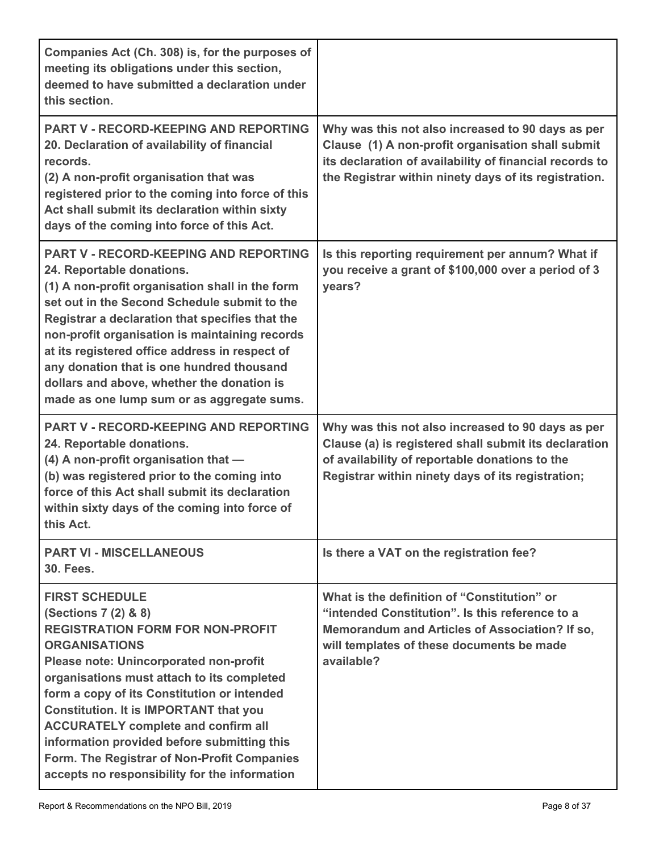| Companies Act (Ch. 308) is, for the purposes of<br>meeting its obligations under this section,<br>deemed to have submitted a declaration under<br>this section.                                                                                                                                                                                                                                                                                                                                       |                                                                                                                                                                                                                            |
|-------------------------------------------------------------------------------------------------------------------------------------------------------------------------------------------------------------------------------------------------------------------------------------------------------------------------------------------------------------------------------------------------------------------------------------------------------------------------------------------------------|----------------------------------------------------------------------------------------------------------------------------------------------------------------------------------------------------------------------------|
| <b>PART V - RECORD-KEEPING AND REPORTING</b><br>20. Declaration of availability of financial<br>records.<br>(2) A non-profit organisation that was<br>registered prior to the coming into force of this<br>Act shall submit its declaration within sixty<br>days of the coming into force of this Act.                                                                                                                                                                                                | Why was this not also increased to 90 days as per<br>Clause (1) A non-profit organisation shall submit<br>its declaration of availability of financial records to<br>the Registrar within ninety days of its registration. |
| <b>PART V - RECORD-KEEPING AND REPORTING</b><br>24. Reportable donations.<br>(1) A non-profit organisation shall in the form<br>set out in the Second Schedule submit to the<br>Registrar a declaration that specifies that the<br>non-profit organisation is maintaining records<br>at its registered office address in respect of<br>any donation that is one hundred thousand<br>dollars and above, whether the donation is<br>made as one lump sum or as aggregate sums.                          | Is this reporting requirement per annum? What if<br>you receive a grant of \$100,000 over a period of 3<br>years?                                                                                                          |
| <b>PART V - RECORD-KEEPING AND REPORTING</b><br>24. Reportable donations.<br>$(4)$ A non-profit organisation that $-$<br>(b) was registered prior to the coming into<br>force of this Act shall submit its declaration<br>within sixty days of the coming into force of<br>this Act.                                                                                                                                                                                                                  | Why was this not also increased to 90 days as per<br>Clause (a) is registered shall submit its declaration<br>of availability of reportable donations to the<br>Registrar within ninety days of its registration;          |
| <b>PART VI - MISCELLANEOUS</b><br><b>30. Fees.</b>                                                                                                                                                                                                                                                                                                                                                                                                                                                    | Is there a VAT on the registration fee?                                                                                                                                                                                    |
| <b>FIRST SCHEDULE</b><br>(Sections 7 (2) & 8)<br><b>REGISTRATION FORM FOR NON-PROFIT</b><br><b>ORGANISATIONS</b><br>Please note: Unincorporated non-profit<br>organisations must attach to its completed<br>form a copy of its Constitution or intended<br><b>Constitution. It is IMPORTANT that you</b><br><b>ACCURATELY complete and confirm all</b><br>information provided before submitting this<br>Form. The Registrar of Non-Profit Companies<br>accepts no responsibility for the information | What is the definition of "Constitution" or<br>"intended Constitution". Is this reference to a<br>Memorandum and Articles of Association? If so,<br>will templates of these documents be made<br>available?                |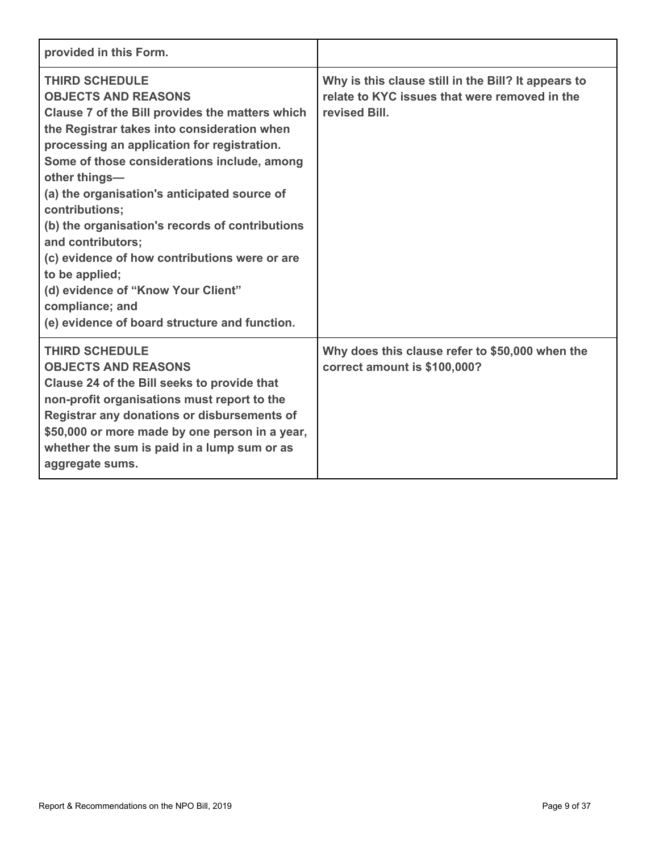| provided in this Form.                                                                                                                                                                                                                                                                                                                                                                                                                                                                                                                                                                      |                                                                                                                       |
|---------------------------------------------------------------------------------------------------------------------------------------------------------------------------------------------------------------------------------------------------------------------------------------------------------------------------------------------------------------------------------------------------------------------------------------------------------------------------------------------------------------------------------------------------------------------------------------------|-----------------------------------------------------------------------------------------------------------------------|
| <b>THIRD SCHEDULE</b><br><b>OBJECTS AND REASONS</b><br>Clause 7 of the Bill provides the matters which<br>the Registrar takes into consideration when<br>processing an application for registration.<br>Some of those considerations include, among<br>other things-<br>(a) the organisation's anticipated source of<br>contributions;<br>(b) the organisation's records of contributions<br>and contributors;<br>(c) evidence of how contributions were or are<br>to be applied;<br>(d) evidence of "Know Your Client"<br>compliance; and<br>(e) evidence of board structure and function. | Why is this clause still in the Bill? It appears to<br>relate to KYC issues that were removed in the<br>revised Bill. |
| <b>THIRD SCHEDULE</b><br><b>OBJECTS AND REASONS</b><br>Clause 24 of the Bill seeks to provide that<br>non-profit organisations must report to the<br>Registrar any donations or disbursements of<br>\$50,000 or more made by one person in a year,<br>whether the sum is paid in a lump sum or as<br>aggregate sums.                                                                                                                                                                                                                                                                        | Why does this clause refer to \$50,000 when the<br>correct amount is \$100,000?                                       |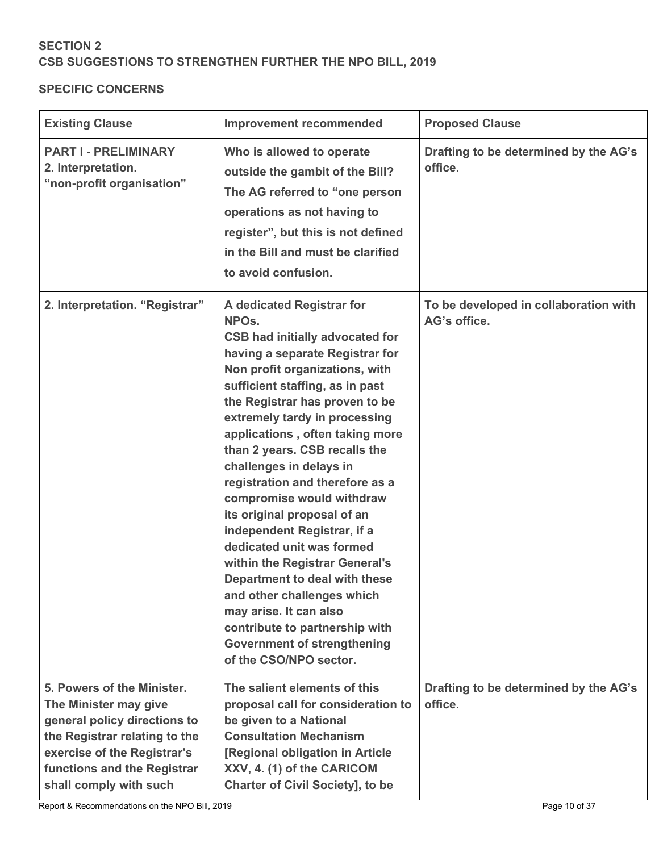# <span id="page-9-0"></span>**SECTION 2 CSB SUGGESTIONS TO STRENGTHEN FURTHER THE NPO BILL, 2019**

### <span id="page-9-1"></span>**SPECIFIC CONCERNS**

| <b>Existing Clause</b>                                                                                                                                                                                       | <b>Improvement recommended</b>                                                                                                                                                                                                                                                                                                                                                                                                                                                                                                                                                                                                                                                                                                                             | <b>Proposed Clause</b>                                |
|--------------------------------------------------------------------------------------------------------------------------------------------------------------------------------------------------------------|------------------------------------------------------------------------------------------------------------------------------------------------------------------------------------------------------------------------------------------------------------------------------------------------------------------------------------------------------------------------------------------------------------------------------------------------------------------------------------------------------------------------------------------------------------------------------------------------------------------------------------------------------------------------------------------------------------------------------------------------------------|-------------------------------------------------------|
| <b>PART I - PRELIMINARY</b><br>2. Interpretation.<br>"non-profit organisation"                                                                                                                               | Who is allowed to operate<br>outside the gambit of the Bill?<br>The AG referred to "one person<br>operations as not having to<br>register", but this is not defined<br>in the Bill and must be clarified<br>to avoid confusion.                                                                                                                                                                                                                                                                                                                                                                                                                                                                                                                            | Drafting to be determined by the AG's<br>office.      |
| 2. Interpretation. "Registrar"                                                                                                                                                                               | A dedicated Registrar for<br>NPO <sub>s.</sub><br><b>CSB had initially advocated for</b><br>having a separate Registrar for<br>Non profit organizations, with<br>sufficient staffing, as in past<br>the Registrar has proven to be<br>extremely tardy in processing<br>applications, often taking more<br>than 2 years. CSB recalls the<br>challenges in delays in<br>registration and therefore as a<br>compromise would withdraw<br>its original proposal of an<br>independent Registrar, if a<br>dedicated unit was formed<br>within the Registrar General's<br>Department to deal with these<br>and other challenges which<br>may arise. It can also<br>contribute to partnership with<br><b>Government of strengthening</b><br>of the CSO/NPO sector. | To be developed in collaboration with<br>AG's office. |
| 5. Powers of the Minister.<br>The Minister may give<br>general policy directions to<br>the Registrar relating to the<br>exercise of the Registrar's<br>functions and the Registrar<br>shall comply with such | The salient elements of this<br>proposal call for consideration to<br>be given to a National<br><b>Consultation Mechanism</b><br>[Regional obligation in Article<br>XXV, 4. (1) of the CARICOM<br><b>Charter of Civil Society], to be</b>                                                                                                                                                                                                                                                                                                                                                                                                                                                                                                                  | Drafting to be determined by the AG's<br>office.      |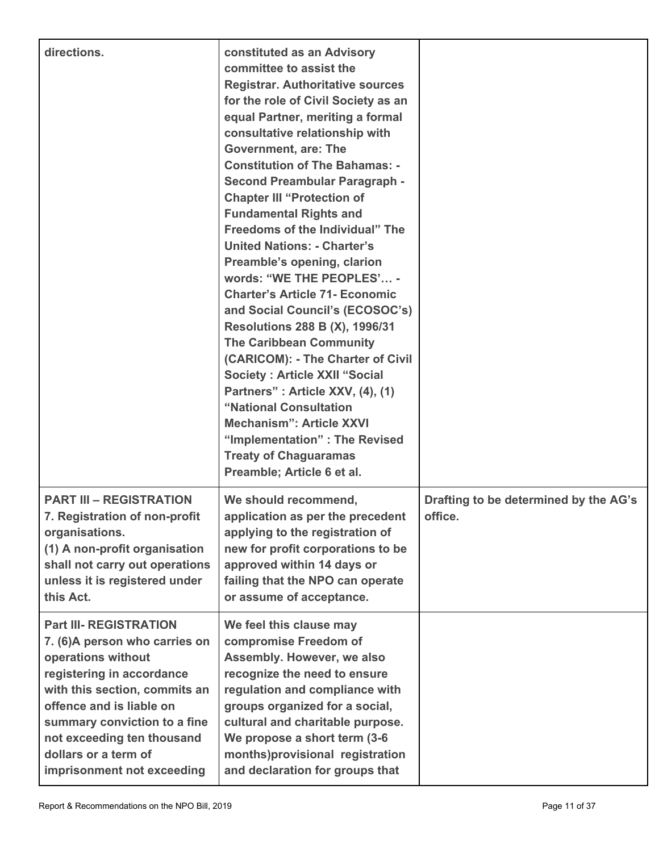| directions.                                                                                                                                                                                                                                                                                         | constituted as an Advisory<br>committee to assist the<br><b>Registrar. Authoritative sources</b><br>for the role of Civil Society as an<br>equal Partner, meriting a formal<br>consultative relationship with<br><b>Government, are: The</b><br><b>Constitution of The Bahamas: -</b><br><b>Second Preambular Paragraph -</b><br><b>Chapter III "Protection of</b><br><b>Fundamental Rights and</b><br>Freedoms of the Individual" The<br><b>United Nations: - Charter's</b><br>Preamble's opening, clarion<br>words: "WE THE PEOPLES' -<br><b>Charter's Article 71- Economic</b><br>and Social Council's (ECOSOC's)<br><b>Resolutions 288 B (X), 1996/31</b><br><b>The Caribbean Community</b><br>(CARICOM): - The Charter of Civil<br><b>Society: Article XXII "Social</b><br>Partners": Article XXV, (4), (1)<br>"National Consultation<br><b>Mechanism": Article XXVI</b><br>"Implementation" : The Revised<br><b>Treaty of Chaguaramas</b><br>Preamble; Article 6 et al. |                                                  |
|-----------------------------------------------------------------------------------------------------------------------------------------------------------------------------------------------------------------------------------------------------------------------------------------------------|-------------------------------------------------------------------------------------------------------------------------------------------------------------------------------------------------------------------------------------------------------------------------------------------------------------------------------------------------------------------------------------------------------------------------------------------------------------------------------------------------------------------------------------------------------------------------------------------------------------------------------------------------------------------------------------------------------------------------------------------------------------------------------------------------------------------------------------------------------------------------------------------------------------------------------------------------------------------------------|--------------------------------------------------|
| <b>PART III - REGISTRATION</b><br>7. Registration of non-profit<br>organisations.<br>(1) A non-profit organisation<br>shall not carry out operations<br>unless it is registered under<br>this Act.                                                                                                  | We should recommend,<br>application as per the precedent<br>applying to the registration of<br>new for profit corporations to be<br>approved within 14 days or<br>failing that the NPO can operate<br>or assume of acceptance.                                                                                                                                                                                                                                                                                                                                                                                                                                                                                                                                                                                                                                                                                                                                                | Drafting to be determined by the AG's<br>office. |
| <b>Part III- REGISTRATION</b><br>7. (6) A person who carries on<br>operations without<br>registering in accordance<br>with this section, commits an<br>offence and is liable on<br>summary conviction to a fine<br>not exceeding ten thousand<br>dollars or a term of<br>imprisonment not exceeding | We feel this clause may<br>compromise Freedom of<br>Assembly. However, we also<br>recognize the need to ensure<br>regulation and compliance with<br>groups organized for a social,<br>cultural and charitable purpose.<br>We propose a short term (3-6<br>months)provisional registration<br>and declaration for groups that                                                                                                                                                                                                                                                                                                                                                                                                                                                                                                                                                                                                                                                  |                                                  |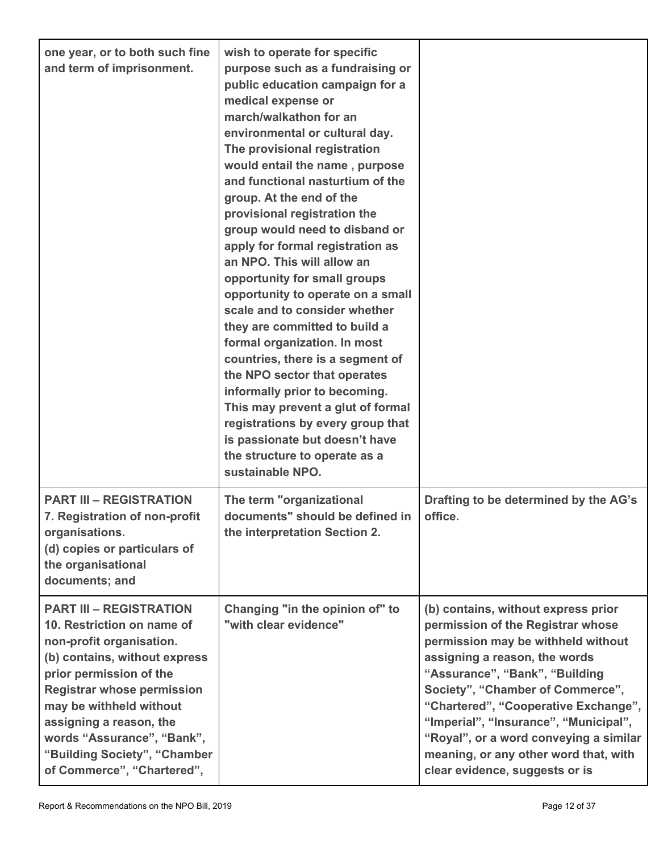| one year, or to both such fine<br>and term of imprisonment.                                                                                                                                                                                                                                                                                 | wish to operate for specific<br>purpose such as a fundraising or<br>public education campaign for a<br>medical expense or<br>march/walkathon for an<br>environmental or cultural day.<br>The provisional registration<br>would entail the name, purpose<br>and functional nasturtium of the<br>group. At the end of the<br>provisional registration the<br>group would need to disband or<br>apply for formal registration as<br>an NPO. This will allow an<br>opportunity for small groups<br>opportunity to operate on a small<br>scale and to consider whether<br>they are committed to build a<br>formal organization. In most<br>countries, there is a segment of<br>the NPO sector that operates<br>informally prior to becoming.<br>This may prevent a glut of formal<br>registrations by every group that<br>is passionate but doesn't have<br>the structure to operate as a<br>sustainable NPO. |                                                                                                                                                                                                                                                                                                                                                                                                                             |
|---------------------------------------------------------------------------------------------------------------------------------------------------------------------------------------------------------------------------------------------------------------------------------------------------------------------------------------------|----------------------------------------------------------------------------------------------------------------------------------------------------------------------------------------------------------------------------------------------------------------------------------------------------------------------------------------------------------------------------------------------------------------------------------------------------------------------------------------------------------------------------------------------------------------------------------------------------------------------------------------------------------------------------------------------------------------------------------------------------------------------------------------------------------------------------------------------------------------------------------------------------------|-----------------------------------------------------------------------------------------------------------------------------------------------------------------------------------------------------------------------------------------------------------------------------------------------------------------------------------------------------------------------------------------------------------------------------|
| <b>PART III - REGISTRATION</b><br>7. Registration of non-profit<br>organisations.<br>(d) copies or particulars of<br>the organisational<br>documents; and                                                                                                                                                                                   | The term "organizational<br>documents" should be defined in<br>the interpretation Section 2.                                                                                                                                                                                                                                                                                                                                                                                                                                                                                                                                                                                                                                                                                                                                                                                                             | Drafting to be determined by the AG's<br>office.                                                                                                                                                                                                                                                                                                                                                                            |
| <b>PART III - REGISTRATION</b><br>10. Restriction on name of<br>non-profit organisation.<br>(b) contains, without express<br>prior permission of the<br><b>Registrar whose permission</b><br>may be withheld without<br>assigning a reason, the<br>words "Assurance", "Bank",<br>"Building Society", "Chamber<br>of Commerce", "Chartered", | Changing "in the opinion of" to<br>"with clear evidence"                                                                                                                                                                                                                                                                                                                                                                                                                                                                                                                                                                                                                                                                                                                                                                                                                                                 | (b) contains, without express prior<br>permission of the Registrar whose<br>permission may be withheld without<br>assigning a reason, the words<br>"Assurance", "Bank", "Building<br>Society", "Chamber of Commerce",<br>"Chartered", "Cooperative Exchange",<br>"Imperial", "Insurance", "Municipal",<br>"Royal", or a word conveying a similar<br>meaning, or any other word that, with<br>clear evidence, suggests or is |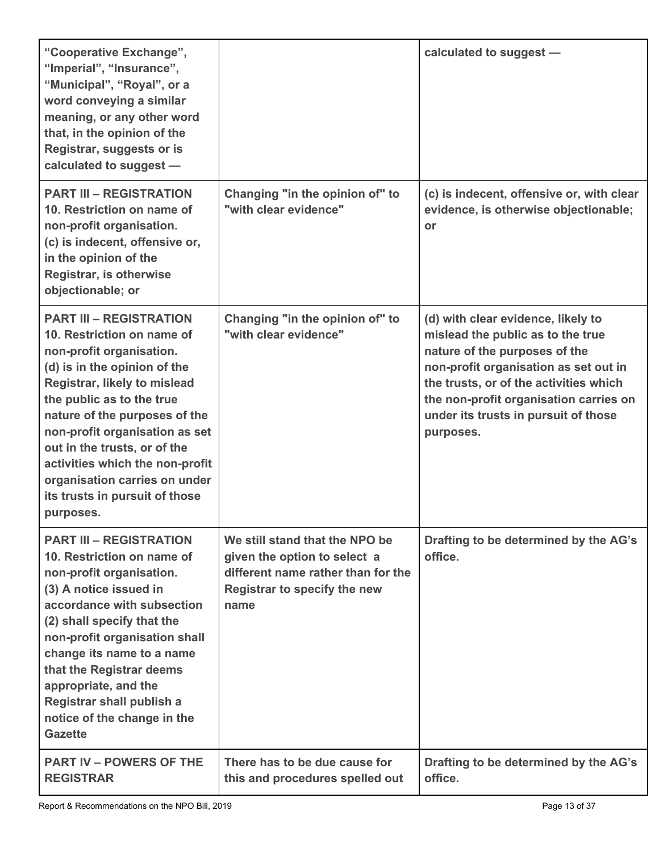| "Cooperative Exchange",<br>"Imperial", "Insurance",<br>"Municipal", "Royal", or a<br>word conveying a similar<br>meaning, or any other word<br>that, in the opinion of the<br>Registrar, suggests or is<br>calculated to suggest -                                                                                                                                                                          |                                                                                                                                              | calculated to suggest -                                                                                                                                                                                                                                                                    |
|-------------------------------------------------------------------------------------------------------------------------------------------------------------------------------------------------------------------------------------------------------------------------------------------------------------------------------------------------------------------------------------------------------------|----------------------------------------------------------------------------------------------------------------------------------------------|--------------------------------------------------------------------------------------------------------------------------------------------------------------------------------------------------------------------------------------------------------------------------------------------|
| <b>PART III - REGISTRATION</b><br>10. Restriction on name of<br>non-profit organisation.<br>(c) is indecent, offensive or,<br>in the opinion of the<br>Registrar, is otherwise<br>objectionable; or                                                                                                                                                                                                         | Changing "in the opinion of" to<br>"with clear evidence"                                                                                     | (c) is indecent, offensive or, with clear<br>evidence, is otherwise objectionable;<br>or                                                                                                                                                                                                   |
| <b>PART III - REGISTRATION</b><br>10. Restriction on name of<br>non-profit organisation.<br>(d) is in the opinion of the<br>Registrar, likely to mislead<br>the public as to the true<br>nature of the purposes of the<br>non-profit organisation as set<br>out in the trusts, or of the<br>activities which the non-profit<br>organisation carries on under<br>its trusts in pursuit of those<br>purposes. | Changing "in the opinion of" to<br>"with clear evidence"                                                                                     | (d) with clear evidence, likely to<br>mislead the public as to the true<br>nature of the purposes of the<br>non-profit organisation as set out in<br>the trusts, or of the activities which<br>the non-profit organisation carries on<br>under its trusts in pursuit of those<br>purposes. |
| <b>PART III - REGISTRATION</b><br>10. Restriction on name of<br>non-profit organisation.<br>(3) A notice issued in<br>accordance with subsection<br>(2) shall specify that the<br>non-profit organisation shall<br>change its name to a name<br>that the Registrar deems<br>appropriate, and the<br>Registrar shall publish a<br>notice of the change in the<br><b>Gazette</b>                              | We still stand that the NPO be<br>given the option to select a<br>different name rather than for the<br>Registrar to specify the new<br>name | Drafting to be determined by the AG's<br>office.                                                                                                                                                                                                                                           |
| <b>PART IV – POWERS OF THE</b><br><b>REGISTRAR</b>                                                                                                                                                                                                                                                                                                                                                          | There has to be due cause for<br>this and procedures spelled out                                                                             | Drafting to be determined by the AG's<br>office.                                                                                                                                                                                                                                           |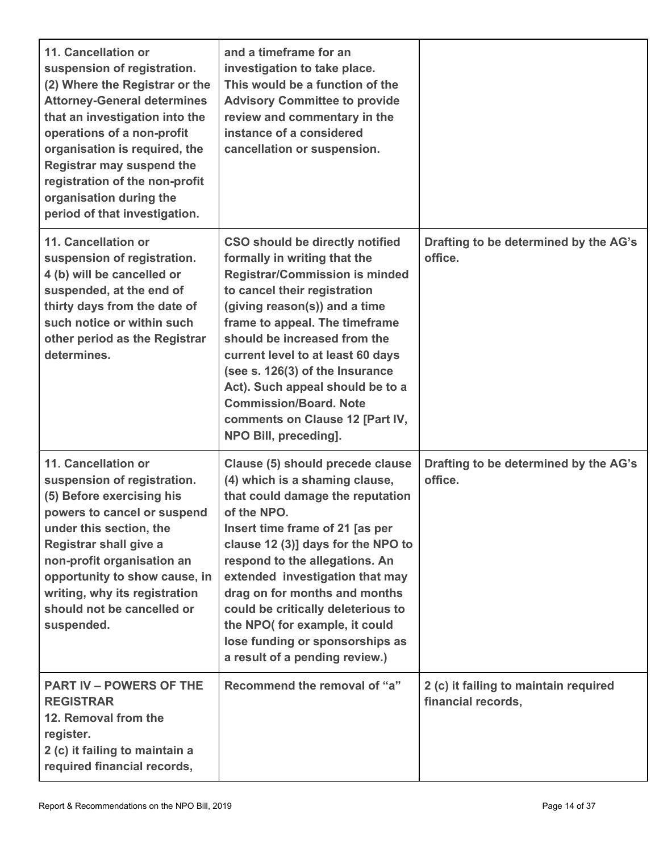| 11. Cancellation or<br>suspension of registration.<br>(2) Where the Registrar or the<br><b>Attorney-General determines</b><br>that an investigation into the<br>operations of a non-profit<br>organisation is required, the<br><b>Registrar may suspend the</b><br>registration of the non-profit<br>organisation during the<br>period of that investigation. | and a timeframe for an<br>investigation to take place.<br>This would be a function of the<br><b>Advisory Committee to provide</b><br>review and commentary in the<br>instance of a considered<br>cancellation or suspension.                                                                                                                                                                                                                                |                                                             |
|---------------------------------------------------------------------------------------------------------------------------------------------------------------------------------------------------------------------------------------------------------------------------------------------------------------------------------------------------------------|-------------------------------------------------------------------------------------------------------------------------------------------------------------------------------------------------------------------------------------------------------------------------------------------------------------------------------------------------------------------------------------------------------------------------------------------------------------|-------------------------------------------------------------|
| 11. Cancellation or<br>suspension of registration.<br>4 (b) will be cancelled or<br>suspended, at the end of<br>thirty days from the date of<br>such notice or within such<br>other period as the Registrar<br>determines.                                                                                                                                    | <b>CSO should be directly notified</b><br>formally in writing that the<br><b>Registrar/Commission is minded</b><br>to cancel their registration<br>(giving reason(s)) and a time<br>frame to appeal. The timeframe<br>should be increased from the<br>current level to at least 60 days<br>(see s. 126(3) of the Insurance<br>Act). Such appeal should be to a<br><b>Commission/Board, Note</b><br>comments on Clause 12 [Part IV,<br>NPO Bill, preceding]. | Drafting to be determined by the AG's<br>office.            |
| 11. Cancellation or<br>suspension of registration.<br>(5) Before exercising his<br>powers to cancel or suspend<br>under this section, the<br><b>Registrar shall give a</b><br>non-profit organisation an<br>opportunity to show cause, in<br>writing, why its registration<br>should not be cancelled or<br>suspended.                                        | Clause (5) should precede clause<br>(4) which is a shaming clause,<br>that could damage the reputation<br>of the NPO.<br>Insert time frame of 21 [as per<br>clause 12 (3)] days for the NPO to<br>respond to the allegations. An<br>extended investigation that may<br>drag on for months and months<br>could be critically deleterious to<br>the NPO( for example, it could<br>lose funding or sponsorships as<br>a result of a pending review.)           | Drafting to be determined by the AG's<br>office.            |
| <b>PART IV – POWERS OF THE</b><br><b>REGISTRAR</b><br>12. Removal from the<br>register.<br>2 (c) it failing to maintain a<br>required financial records,                                                                                                                                                                                                      | Recommend the removal of "a"                                                                                                                                                                                                                                                                                                                                                                                                                                | 2 (c) it failing to maintain required<br>financial records, |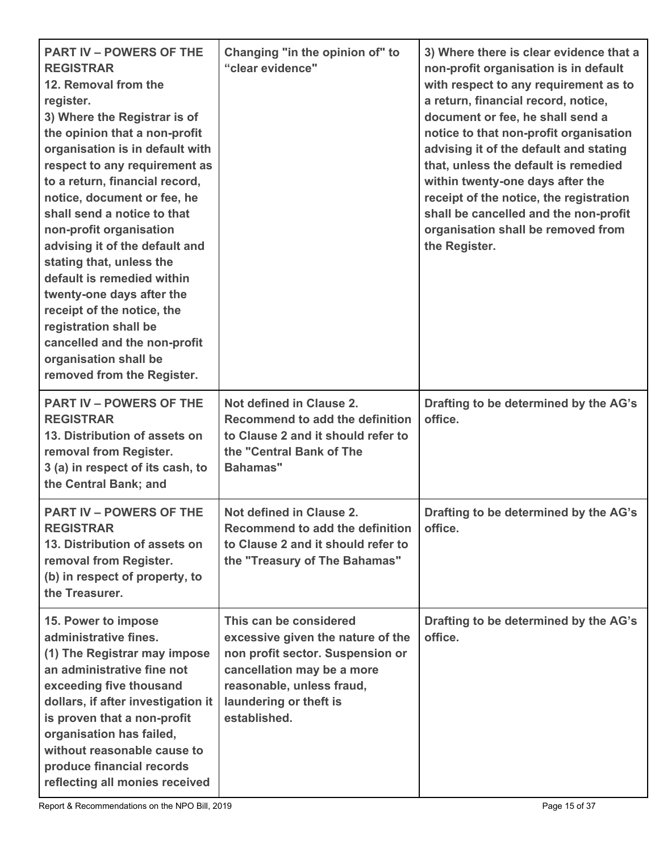| <b>PART IV - POWERS OF THE</b><br><b>REGISTRAR</b><br>12. Removal from the<br>register.<br>3) Where the Registrar is of<br>the opinion that a non-profit<br>organisation is in default with<br>respect to any requirement as<br>to a return, financial record,<br>notice, document or fee, he<br>shall send a notice to that<br>non-profit organisation<br>advising it of the default and<br>stating that, unless the<br>default is remedied within<br>twenty-one days after the<br>receipt of the notice, the<br>registration shall be<br>cancelled and the non-profit<br>organisation shall be<br>removed from the Register. | Changing "in the opinion of" to<br>"clear evidence"                                                                                                                                                  | 3) Where there is clear evidence that a<br>non-profit organisation is in default<br>with respect to any requirement as to<br>a return, financial record, notice,<br>document or fee, he shall send a<br>notice to that non-profit organisation<br>advising it of the default and stating<br>that, unless the default is remedied<br>within twenty-one days after the<br>receipt of the notice, the registration<br>shall be cancelled and the non-profit<br>organisation shall be removed from<br>the Register. |
|--------------------------------------------------------------------------------------------------------------------------------------------------------------------------------------------------------------------------------------------------------------------------------------------------------------------------------------------------------------------------------------------------------------------------------------------------------------------------------------------------------------------------------------------------------------------------------------------------------------------------------|------------------------------------------------------------------------------------------------------------------------------------------------------------------------------------------------------|-----------------------------------------------------------------------------------------------------------------------------------------------------------------------------------------------------------------------------------------------------------------------------------------------------------------------------------------------------------------------------------------------------------------------------------------------------------------------------------------------------------------|
| <b>PART IV - POWERS OF THE</b><br><b>REGISTRAR</b><br>13. Distribution of assets on<br>removal from Register.<br>3 (a) in respect of its cash, to<br>the Central Bank; and                                                                                                                                                                                                                                                                                                                                                                                                                                                     | Not defined in Clause 2.<br>Recommend to add the definition<br>to Clause 2 and it should refer to<br>the "Central Bank of The<br><b>Bahamas"</b>                                                     | Drafting to be determined by the AG's<br>office.                                                                                                                                                                                                                                                                                                                                                                                                                                                                |
| <b>PART IV - POWERS OF THE</b><br><b>REGISTRAR</b><br>13. Distribution of assets on<br>removal from Register.<br>(b) in respect of property, to<br>the Treasurer.                                                                                                                                                                                                                                                                                                                                                                                                                                                              | Not defined in Clause 2.<br>Recommend to add the definition<br>to Clause 2 and it should refer to<br>the "Treasury of The Bahamas"                                                                   | Drafting to be determined by the AG's<br>office.                                                                                                                                                                                                                                                                                                                                                                                                                                                                |
| 15. Power to impose<br>administrative fines.<br>(1) The Registrar may impose<br>an administrative fine not<br>exceeding five thousand<br>dollars, if after investigation it<br>is proven that a non-profit<br>organisation has failed,<br>without reasonable cause to<br>produce financial records<br>reflecting all monies received                                                                                                                                                                                                                                                                                           | This can be considered<br>excessive given the nature of the<br>non profit sector. Suspension or<br>cancellation may be a more<br>reasonable, unless fraud,<br>laundering or theft is<br>established. | Drafting to be determined by the AG's<br>office.                                                                                                                                                                                                                                                                                                                                                                                                                                                                |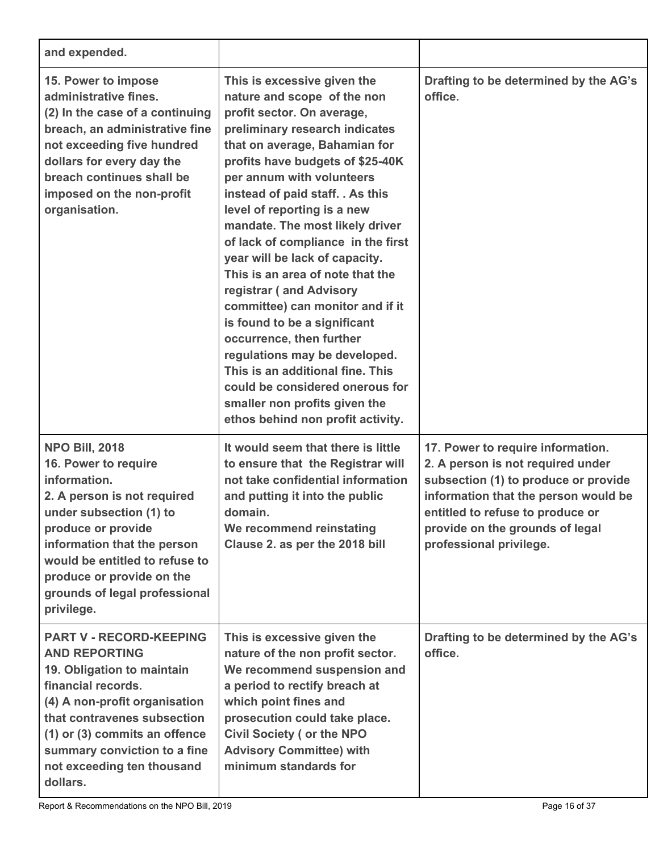| and expended.                                                                                                                                                                                                                                                                              |                                                                                                                                                                                                                                                                                                                                                                                                                                                                                                                                                                                                                                                                                                                                                         |                                                                                                                                                                                                                                                          |
|--------------------------------------------------------------------------------------------------------------------------------------------------------------------------------------------------------------------------------------------------------------------------------------------|---------------------------------------------------------------------------------------------------------------------------------------------------------------------------------------------------------------------------------------------------------------------------------------------------------------------------------------------------------------------------------------------------------------------------------------------------------------------------------------------------------------------------------------------------------------------------------------------------------------------------------------------------------------------------------------------------------------------------------------------------------|----------------------------------------------------------------------------------------------------------------------------------------------------------------------------------------------------------------------------------------------------------|
| 15. Power to impose<br>administrative fines.<br>(2) In the case of a continuing<br>breach, an administrative fine<br>not exceeding five hundred<br>dollars for every day the<br>breach continues shall be<br>imposed on the non-profit<br>organisation.                                    | This is excessive given the<br>nature and scope of the non<br>profit sector. On average,<br>preliminary research indicates<br>that on average, Bahamian for<br>profits have budgets of \$25-40K<br>per annum with volunteers<br>instead of paid staff. . As this<br>level of reporting is a new<br>mandate. The most likely driver<br>of lack of compliance in the first<br>year will be lack of capacity.<br>This is an area of note that the<br>registrar (and Advisory<br>committee) can monitor and if it<br>is found to be a significant<br>occurrence, then further<br>regulations may be developed.<br>This is an additional fine. This<br>could be considered onerous for<br>smaller non profits given the<br>ethos behind non profit activity. | Drafting to be determined by the AG's<br>office.                                                                                                                                                                                                         |
| <b>NPO Bill, 2018</b><br>16. Power to require<br>information.<br>2. A person is not required<br>under subsection (1) to<br>produce or provide<br>information that the person<br>would be entitled to refuse to<br>produce or provide on the<br>grounds of legal professional<br>privilege. | It would seem that there is little<br>to ensure that the Registrar will<br>not take confidential information<br>and putting it into the public<br>domain.<br>We recommend reinstating<br>Clause 2. as per the 2018 bill                                                                                                                                                                                                                                                                                                                                                                                                                                                                                                                                 | 17. Power to require information.<br>2. A person is not required under<br>subsection (1) to produce or provide<br>information that the person would be<br>entitled to refuse to produce or<br>provide on the grounds of legal<br>professional privilege. |
| <b>PART V - RECORD-KEEPING</b><br><b>AND REPORTING</b><br>19. Obligation to maintain<br>financial records.<br>(4) A non-profit organisation<br>that contravenes subsection<br>(1) or (3) commits an offence<br>summary conviction to a fine<br>not exceeding ten thousand<br>dollars.      | This is excessive given the<br>nature of the non profit sector.<br>We recommend suspension and<br>a period to rectify breach at<br>which point fines and<br>prosecution could take place.<br><b>Civil Society ( or the NPO</b><br><b>Advisory Committee) with</b><br>minimum standards for                                                                                                                                                                                                                                                                                                                                                                                                                                                              | Drafting to be determined by the AG's<br>office.                                                                                                                                                                                                         |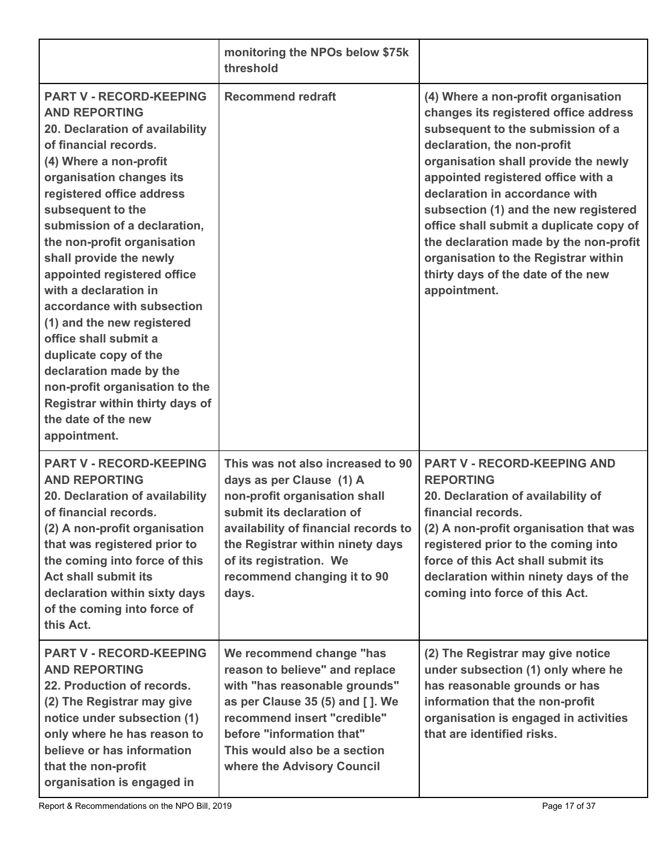|                                                                                                                                                                                                                                                                                                                                                                                                                                                                                                                                                                                                                                   | monitoring the NPOs below \$75k<br>threshold                                                                                                                                                                                                                               |                                                                                                                                                                                                                                                                                                                                                                                                                                                                                              |
|-----------------------------------------------------------------------------------------------------------------------------------------------------------------------------------------------------------------------------------------------------------------------------------------------------------------------------------------------------------------------------------------------------------------------------------------------------------------------------------------------------------------------------------------------------------------------------------------------------------------------------------|----------------------------------------------------------------------------------------------------------------------------------------------------------------------------------------------------------------------------------------------------------------------------|----------------------------------------------------------------------------------------------------------------------------------------------------------------------------------------------------------------------------------------------------------------------------------------------------------------------------------------------------------------------------------------------------------------------------------------------------------------------------------------------|
| <b>PART V - RECORD-KEEPING</b><br><b>AND REPORTING</b><br>20. Declaration of availability<br>of financial records.<br>(4) Where a non-profit<br>organisation changes its<br>registered office address<br>subsequent to the<br>submission of a declaration,<br>the non-profit organisation<br>shall provide the newly<br>appointed registered office<br>with a declaration in<br>accordance with subsection<br>(1) and the new registered<br>office shall submit a<br>duplicate copy of the<br>declaration made by the<br>non-profit organisation to the<br>Registrar within thirty days of<br>the date of the new<br>appointment. | <b>Recommend redraft</b>                                                                                                                                                                                                                                                   | (4) Where a non-profit organisation<br>changes its registered office address<br>subsequent to the submission of a<br>declaration, the non-profit<br>organisation shall provide the newly<br>appointed registered office with a<br>declaration in accordance with<br>subsection (1) and the new registered<br>office shall submit a duplicate copy of<br>the declaration made by the non-profit<br>organisation to the Registrar within<br>thirty days of the date of the new<br>appointment. |
| <b>PART V - RECORD-KEEPING</b><br><b>AND REPORTING</b><br>20. Declaration of availability<br>of financial records.<br>(2) A non-profit organisation<br>that was registered prior to<br>the coming into force of this<br><b>Act shall submit its</b><br>declaration within sixty days<br>of the coming into force of<br>this Act.                                                                                                                                                                                                                                                                                                  | This was not also increased to 90<br>days as per Clause (1) A<br>non-profit organisation shall<br>submit its declaration of<br>availability of financial records to<br>the Registrar within ninety days<br>of its registration. We<br>recommend changing it to 90<br>days. | <b>PART V - RECORD-KEEPING AND</b><br><b>REPORTING</b><br>20. Declaration of availability of<br>financial records.<br>(2) A non-profit organisation that was<br>registered prior to the coming into<br>force of this Act shall submit its<br>declaration within ninety days of the<br>coming into force of this Act.                                                                                                                                                                         |
| <b>PART V - RECORD-KEEPING</b><br><b>AND REPORTING</b><br>22. Production of records.<br>(2) The Registrar may give<br>notice under subsection (1)<br>only where he has reason to<br>believe or has information<br>that the non-profit<br>organisation is engaged in                                                                                                                                                                                                                                                                                                                                                               | We recommend change "has<br>reason to believe" and replace<br>with "has reasonable grounds"<br>as per Clause 35 (5) and [ ]. We<br>recommend insert "credible"<br>before "information that"<br>This would also be a section<br>where the Advisory Council                  | (2) The Registrar may give notice<br>under subsection (1) only where he<br>has reasonable grounds or has<br>information that the non-profit<br>organisation is engaged in activities<br>that are identified risks.                                                                                                                                                                                                                                                                           |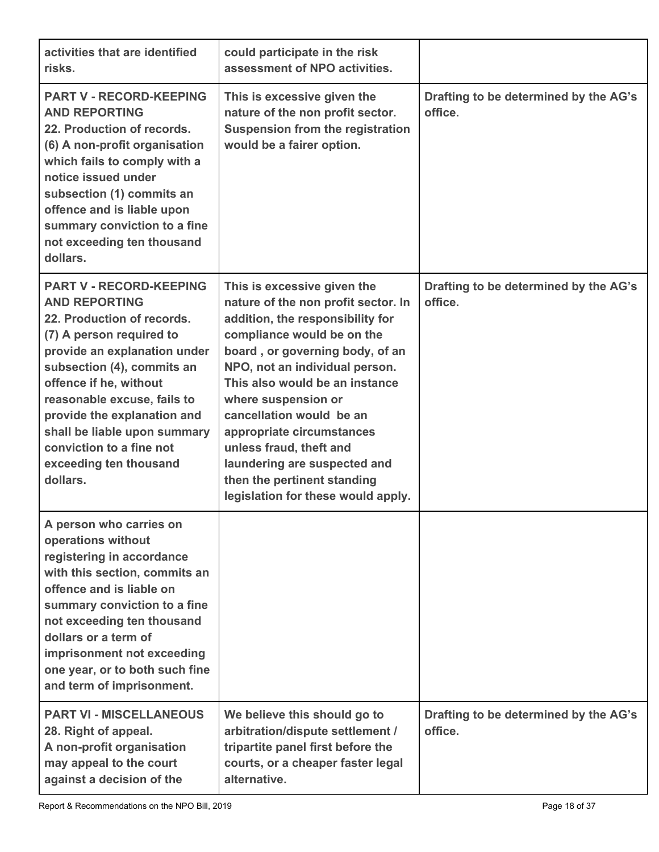| activities that are identified<br>risks.                                                                                                                                                                                                                                                                                                                                 | could participate in the risk<br>assessment of NPO activities.                                                                                                                                                                                                                                                                                                                                                                                              |                                                  |
|--------------------------------------------------------------------------------------------------------------------------------------------------------------------------------------------------------------------------------------------------------------------------------------------------------------------------------------------------------------------------|-------------------------------------------------------------------------------------------------------------------------------------------------------------------------------------------------------------------------------------------------------------------------------------------------------------------------------------------------------------------------------------------------------------------------------------------------------------|--------------------------------------------------|
| <b>PART V - RECORD-KEEPING</b><br><b>AND REPORTING</b><br>22. Production of records.<br>(6) A non-profit organisation<br>which fails to comply with a<br>notice issued under<br>subsection (1) commits an<br>offence and is liable upon<br>summary conviction to a fine<br>not exceeding ten thousand<br>dollars.                                                        | This is excessive given the<br>nature of the non profit sector.<br><b>Suspension from the registration</b><br>would be a fairer option.                                                                                                                                                                                                                                                                                                                     | Drafting to be determined by the AG's<br>office. |
| <b>PART V - RECORD-KEEPING</b><br><b>AND REPORTING</b><br>22. Production of records.<br>(7) A person required to<br>provide an explanation under<br>subsection (4), commits an<br>offence if he, without<br>reasonable excuse, fails to<br>provide the explanation and<br>shall be liable upon summary<br>conviction to a fine not<br>exceeding ten thousand<br>dollars. | This is excessive given the<br>nature of the non profit sector. In<br>addition, the responsibility for<br>compliance would be on the<br>board, or governing body, of an<br>NPO, not an individual person.<br>This also would be an instance<br>where suspension or<br>cancellation would be an<br>appropriate circumstances<br>unless fraud, theft and<br>laundering are suspected and<br>then the pertinent standing<br>legislation for these would apply. | Drafting to be determined by the AG's<br>office. |
| A person who carries on<br>operations without<br>registering in accordance<br>with this section, commits an<br>offence and is liable on<br>summary conviction to a fine<br>not exceeding ten thousand<br>dollars or a term of<br>imprisonment not exceeding<br>one year, or to both such fine<br>and term of imprisonment.                                               |                                                                                                                                                                                                                                                                                                                                                                                                                                                             |                                                  |
| <b>PART VI - MISCELLANEOUS</b><br>28. Right of appeal.<br>A non-profit organisation<br>may appeal to the court<br>against a decision of the                                                                                                                                                                                                                              | We believe this should go to<br>arbitration/dispute settlement /<br>tripartite panel first before the<br>courts, or a cheaper faster legal<br>alternative.                                                                                                                                                                                                                                                                                                  | Drafting to be determined by the AG's<br>office. |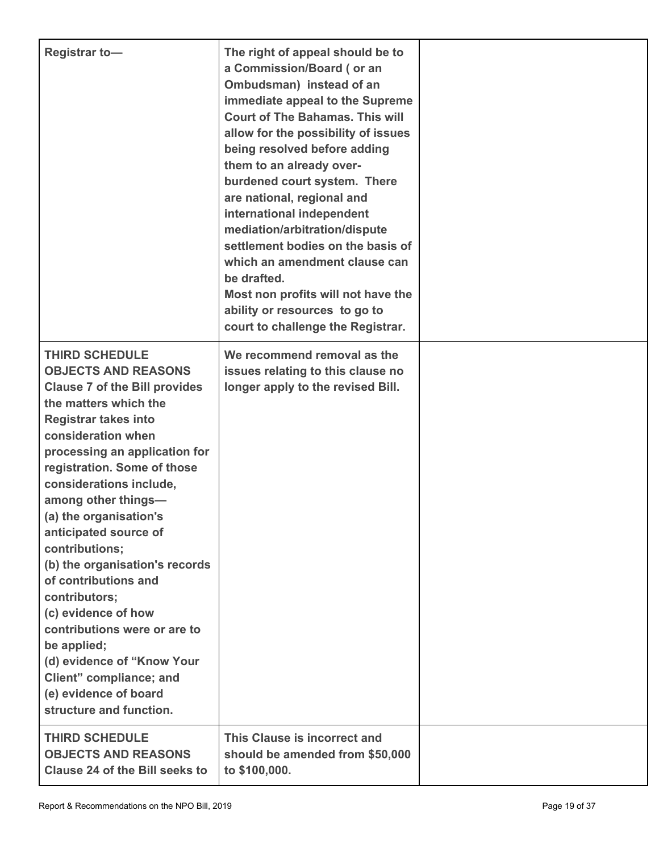| <b>Registrar to-</b>                                                                                                                                                                                                                                                                                                                                                                                                                                                                                                                                                                                                           | The right of appeal should be to<br>a Commission/Board (or an<br>Ombudsman) instead of an<br>immediate appeal to the Supreme<br><b>Court of The Bahamas. This will</b><br>allow for the possibility of issues<br>being resolved before adding<br>them to an already over-<br>burdened court system. There<br>are national, regional and<br>international independent<br>mediation/arbitration/dispute<br>settlement bodies on the basis of<br>which an amendment clause can<br>be drafted.<br>Most non profits will not have the<br>ability or resources to go to<br>court to challenge the Registrar. |  |
|--------------------------------------------------------------------------------------------------------------------------------------------------------------------------------------------------------------------------------------------------------------------------------------------------------------------------------------------------------------------------------------------------------------------------------------------------------------------------------------------------------------------------------------------------------------------------------------------------------------------------------|--------------------------------------------------------------------------------------------------------------------------------------------------------------------------------------------------------------------------------------------------------------------------------------------------------------------------------------------------------------------------------------------------------------------------------------------------------------------------------------------------------------------------------------------------------------------------------------------------------|--|
| <b>THIRD SCHEDULE</b><br><b>OBJECTS AND REASONS</b><br><b>Clause 7 of the Bill provides</b><br>the matters which the<br><b>Registrar takes into</b><br>consideration when<br>processing an application for<br>registration. Some of those<br>considerations include,<br>among other things-<br>(a) the organisation's<br>anticipated source of<br>contributions;<br>(b) the organisation's records<br>of contributions and<br>contributors;<br>(c) evidence of how<br>contributions were or are to<br>be applied;<br>(d) evidence of "Know Your<br>Client" compliance; and<br>(e) evidence of board<br>structure and function. | We recommend removal as the<br>issues relating to this clause no<br>longer apply to the revised Bill.                                                                                                                                                                                                                                                                                                                                                                                                                                                                                                  |  |
| <b>THIRD SCHEDULE</b><br><b>OBJECTS AND REASONS</b><br><b>Clause 24 of the Bill seeks to</b>                                                                                                                                                                                                                                                                                                                                                                                                                                                                                                                                   | This Clause is incorrect and<br>should be amended from \$50,000<br>to \$100,000.                                                                                                                                                                                                                                                                                                                                                                                                                                                                                                                       |  |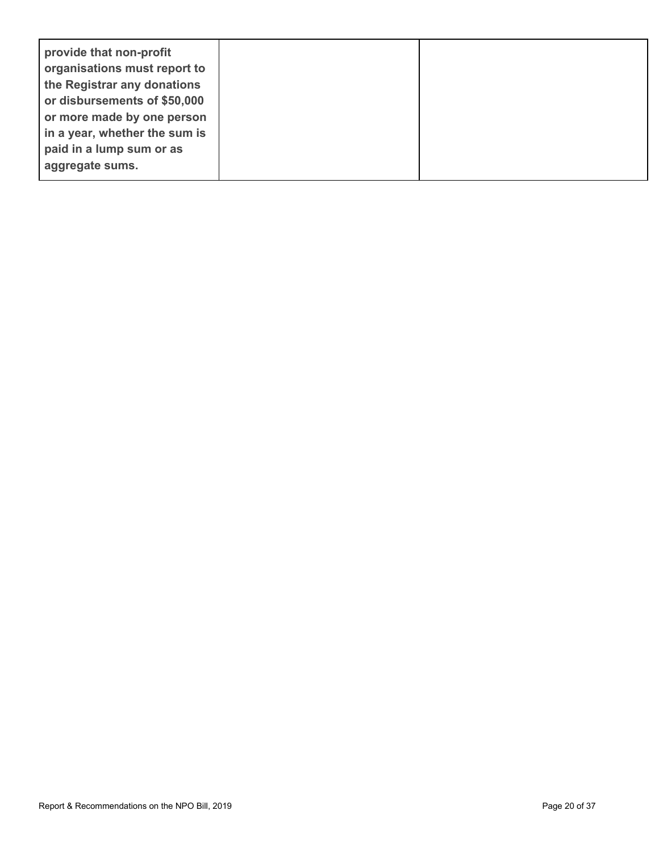| provide that non-profit<br>organisations must report to<br>the Registrar any donations<br>or disbursements of \$50,000<br>or more made by one person<br>in a year, whether the sum is |  |
|---------------------------------------------------------------------------------------------------------------------------------------------------------------------------------------|--|
| paid in a lump sum or as<br>aggregate sums.                                                                                                                                           |  |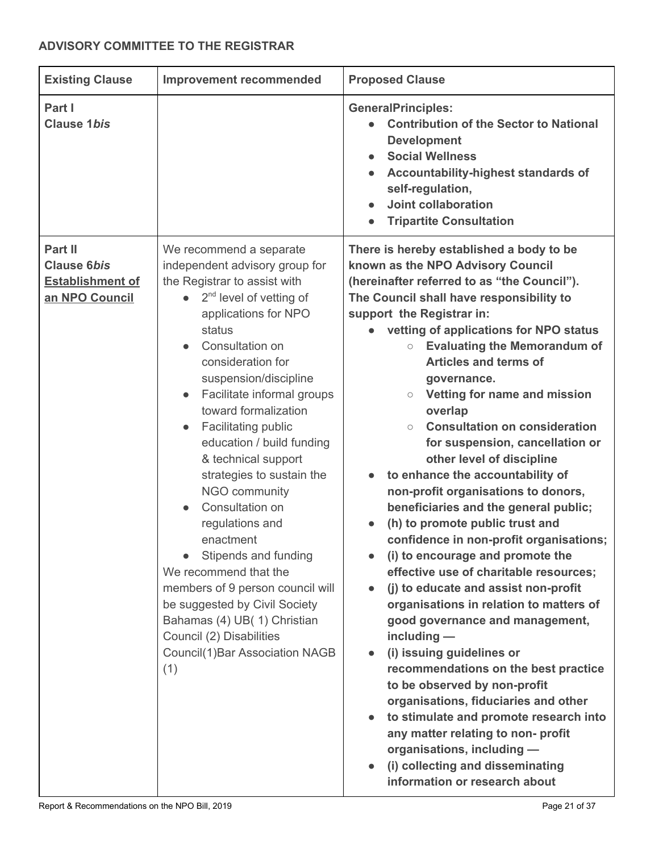# <span id="page-20-0"></span>**ADVISORY COMMITTEE TO THE REGISTRAR**

| <b>Existing Clause</b>                                                     | <b>Improvement recommended</b>                                                                                                                                                                                                                                                                                                                                                                                                                                                                                                                                                                                                                                                                             | <b>Proposed Clause</b>                                                                                                                                                                                                                                                                                                                                                                                                                                                                                                                                                                                                                                                                                                                                                                                                                                                                                                                                                                                                                                                                                                                                                                                                                                                                              |
|----------------------------------------------------------------------------|------------------------------------------------------------------------------------------------------------------------------------------------------------------------------------------------------------------------------------------------------------------------------------------------------------------------------------------------------------------------------------------------------------------------------------------------------------------------------------------------------------------------------------------------------------------------------------------------------------------------------------------------------------------------------------------------------------|-----------------------------------------------------------------------------------------------------------------------------------------------------------------------------------------------------------------------------------------------------------------------------------------------------------------------------------------------------------------------------------------------------------------------------------------------------------------------------------------------------------------------------------------------------------------------------------------------------------------------------------------------------------------------------------------------------------------------------------------------------------------------------------------------------------------------------------------------------------------------------------------------------------------------------------------------------------------------------------------------------------------------------------------------------------------------------------------------------------------------------------------------------------------------------------------------------------------------------------------------------------------------------------------------------|
| Part I<br><b>Clause 1bis</b>                                               |                                                                                                                                                                                                                                                                                                                                                                                                                                                                                                                                                                                                                                                                                                            | <b>GeneralPrinciples:</b><br><b>Contribution of the Sector to National</b><br><b>Development</b><br><b>Social Wellness</b><br>Accountability-highest standards of<br>self-regulation,<br><b>Joint collaboration</b><br><b>Tripartite Consultation</b>                                                                                                                                                                                                                                                                                                                                                                                                                                                                                                                                                                                                                                                                                                                                                                                                                                                                                                                                                                                                                                               |
| Part II<br><b>Clause 6bis</b><br><b>Establishment of</b><br>an NPO Council | We recommend a separate<br>independent advisory group for<br>the Registrar to assist with<br>$\bullet$ 2 <sup>nd</sup> level of vetting of<br>applications for NPO<br>status<br>Consultation on<br>consideration for<br>suspension/discipline<br>Facilitate informal groups<br>toward formalization<br>Facilitating public<br>education / build funding<br>& technical support<br>strategies to sustain the<br>NGO community<br>Consultation on<br>regulations and<br>enactment<br>Stipends and funding<br>We recommend that the<br>members of 9 person council will<br>be suggested by Civil Society<br>Bahamas (4) UB(1) Christian<br>Council (2) Disabilities<br>Council(1) Bar Association NAGB<br>(1) | There is hereby established a body to be<br>known as the NPO Advisory Council<br>(hereinafter referred to as "the Council").<br>The Council shall have responsibility to<br>support the Registrar in:<br>vetting of applications for NPO status<br><b>Evaluating the Memorandum of</b><br>$\bigcirc$<br><b>Articles and terms of</b><br>governance.<br>Vetting for name and mission<br>$\bigcirc$<br>overlap<br><b>Consultation on consideration</b><br>$\circ$<br>for suspension, cancellation or<br>other level of discipline<br>to enhance the accountability of<br>$\bullet$<br>non-profit organisations to donors,<br>beneficiaries and the general public;<br>(h) to promote public trust and<br>confidence in non-profit organisations;<br>(i) to encourage and promote the<br>effective use of charitable resources;<br>(j) to educate and assist non-profit<br>organisations in relation to matters of<br>good governance and management,<br>$including -$<br>(i) issuing guidelines or<br>recommendations on the best practice<br>to be observed by non-profit<br>organisations, fiduciaries and other<br>to stimulate and promote research into<br>any matter relating to non- profit<br>organisations, including -<br>(i) collecting and disseminating<br>information or research about |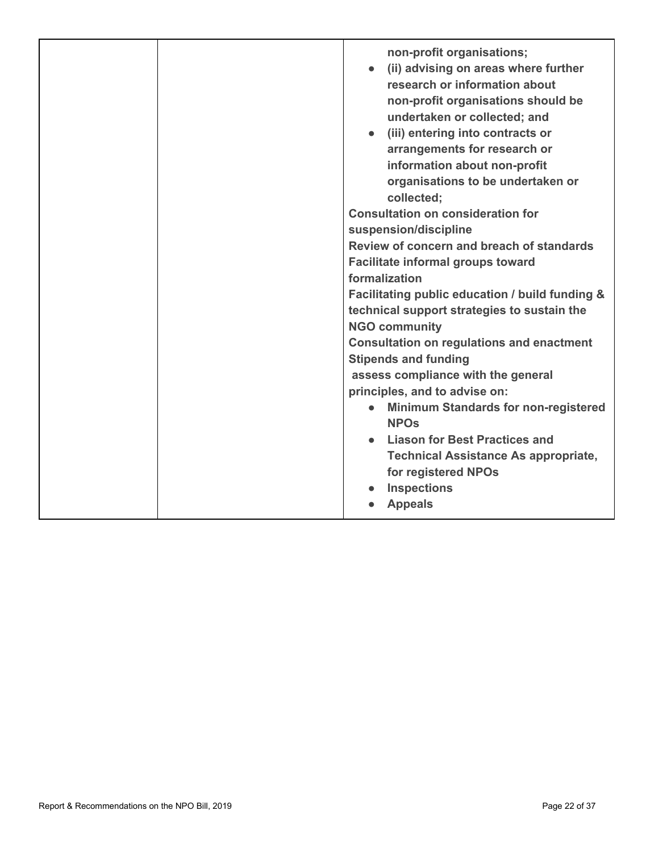|  | non-profit organisations;                                                          |
|--|------------------------------------------------------------------------------------|
|  | (ii) advising on areas where further                                               |
|  | research or information about                                                      |
|  | non-profit organisations should be                                                 |
|  | undertaken or collected; and                                                       |
|  | (iii) entering into contracts or                                                   |
|  | arrangements for research or                                                       |
|  | information about non-profit                                                       |
|  | organisations to be undertaken or                                                  |
|  | collected;                                                                         |
|  | <b>Consultation on consideration for</b>                                           |
|  | suspension/discipline                                                              |
|  | Review of concern and breach of standards                                          |
|  | <b>Facilitate informal groups toward</b>                                           |
|  | formalization                                                                      |
|  | Facilitating public education / build funding &                                    |
|  |                                                                                    |
|  | technical support strategies to sustain the                                        |
|  | <b>NGO community</b>                                                               |
|  | <b>Consultation on regulations and enactment</b>                                   |
|  | <b>Stipends and funding</b>                                                        |
|  | assess compliance with the general                                                 |
|  | principles, and to advise on:                                                      |
|  | <b>Minimum Standards for non-registered</b><br>$\bullet$<br><b>NPO<sub>s</sub></b> |
|  | <b>Liason for Best Practices and</b>                                               |
|  |                                                                                    |
|  | <b>Technical Assistance As appropriate,</b>                                        |
|  | for registered NPOs                                                                |
|  | <b>Inspections</b>                                                                 |
|  | <b>Appeals</b>                                                                     |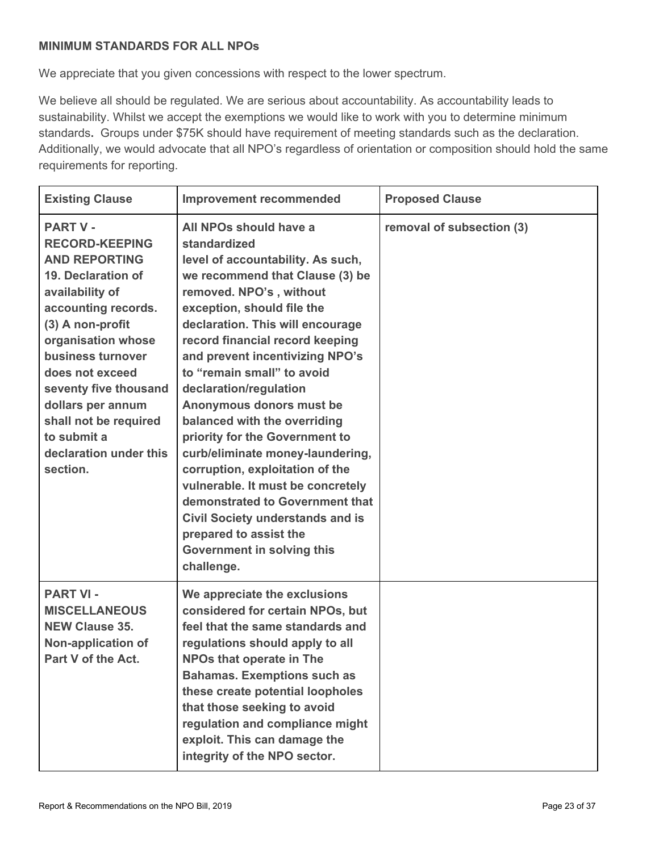### <span id="page-22-0"></span>**MINIMUM STANDARDS FOR ALL NPOs**

We appreciate that you given concessions with respect to the lower spectrum.

We believe all should be regulated. We are serious about accountability. As accountability leads to sustainability. Whilst we accept the exemptions we would like to work with you to determine minimum standards**.** Groups under \$75K should have requirement of meeting standards such as the declaration. Additionally, we would advocate that all NPO's regardless of orientation or composition should hold the same requirements for reporting.

| <b>Existing Clause</b>                                                                                                                                                                                                                                                                                                                         | <b>Improvement recommended</b>                                                                                                                                                                                                                                                                                                                                                                                                                                                                                                                                                                                                                                                                                 | <b>Proposed Clause</b>    |
|------------------------------------------------------------------------------------------------------------------------------------------------------------------------------------------------------------------------------------------------------------------------------------------------------------------------------------------------|----------------------------------------------------------------------------------------------------------------------------------------------------------------------------------------------------------------------------------------------------------------------------------------------------------------------------------------------------------------------------------------------------------------------------------------------------------------------------------------------------------------------------------------------------------------------------------------------------------------------------------------------------------------------------------------------------------------|---------------------------|
| <b>PART V -</b><br><b>RECORD-KEEPING</b><br><b>AND REPORTING</b><br>19. Declaration of<br>availability of<br>accounting records.<br>(3) A non-profit<br>organisation whose<br>business turnover<br>does not exceed<br>seventy five thousand<br>dollars per annum<br>shall not be required<br>to submit a<br>declaration under this<br>section. | All NPOs should have a<br>standardized<br>level of accountability. As such,<br>we recommend that Clause (3) be<br>removed. NPO's, without<br>exception, should file the<br>declaration. This will encourage<br>record financial record keeping<br>and prevent incentivizing NPO's<br>to "remain small" to avoid<br>declaration/regulation<br>Anonymous donors must be<br>balanced with the overriding<br>priority for the Government to<br>curb/eliminate money-laundering,<br>corruption, exploitation of the<br>vulnerable. It must be concretely<br>demonstrated to Government that<br><b>Civil Society understands and is</b><br>prepared to assist the<br><b>Government in solving this</b><br>challenge. | removal of subsection (3) |
| <b>PART VI -</b><br><b>MISCELLANEOUS</b><br><b>NEW Clause 35.</b><br>Non-application of<br>Part V of the Act.                                                                                                                                                                                                                                  | We appreciate the exclusions<br>considered for certain NPOs, but<br>feel that the same standards and<br>regulations should apply to all<br><b>NPOs that operate in The</b><br><b>Bahamas. Exemptions such as</b><br>these create potential loopholes<br>that those seeking to avoid<br>regulation and compliance might<br>exploit. This can damage the<br>integrity of the NPO sector.                                                                                                                                                                                                                                                                                                                         |                           |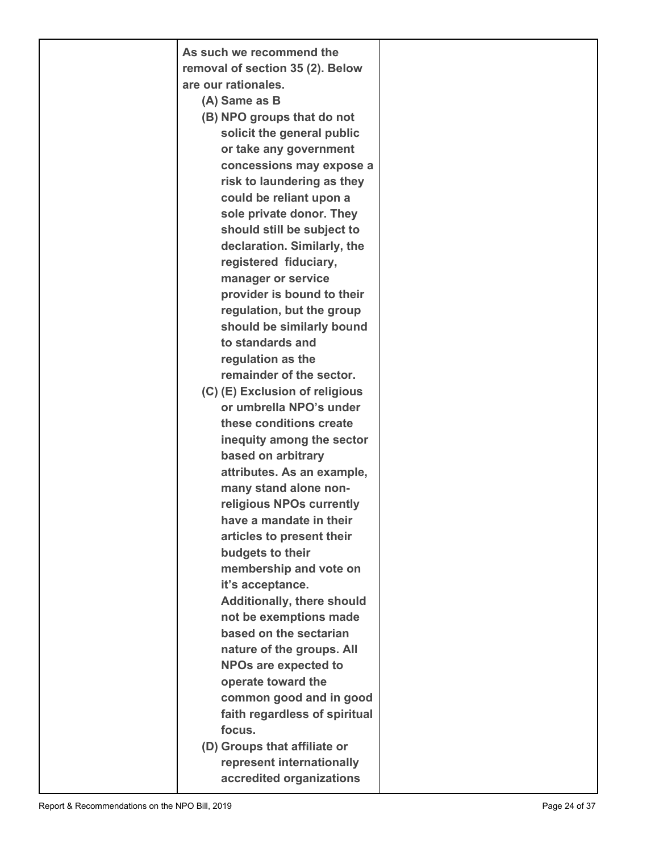| As such we recommend the          |  |
|-----------------------------------|--|
| removal of section 35 (2). Below  |  |
| are our rationales.               |  |
| (A) Same as B                     |  |
| (B) NPO groups that do not        |  |
| solicit the general public        |  |
| or take any government            |  |
| concessions may expose a          |  |
| risk to laundering as they        |  |
| could be reliant upon a           |  |
| sole private donor. They          |  |
| should still be subject to        |  |
| declaration. Similarly, the       |  |
| registered fiduciary,             |  |
| manager or service                |  |
| provider is bound to their        |  |
| regulation, but the group         |  |
| should be similarly bound         |  |
| to standards and                  |  |
| regulation as the                 |  |
| remainder of the sector.          |  |
| (C) (E) Exclusion of religious    |  |
| or umbrella NPO's under           |  |
| these conditions create           |  |
| inequity among the sector         |  |
| based on arbitrary                |  |
| attributes. As an example,        |  |
| many stand alone non-             |  |
| religious NPOs currently          |  |
| have a mandate in their           |  |
| articles to present their         |  |
| budgets to their                  |  |
| membership and vote on            |  |
| it's acceptance.                  |  |
| <b>Additionally, there should</b> |  |
| not be exemptions made            |  |
| based on the sectarian            |  |
| nature of the groups. All         |  |
| <b>NPOs are expected to</b>       |  |
| operate toward the                |  |
| common good and in good           |  |
| faith regardless of spiritual     |  |
| focus.                            |  |
| (D) Groups that affiliate or      |  |
| represent internationally         |  |
| accredited organizations          |  |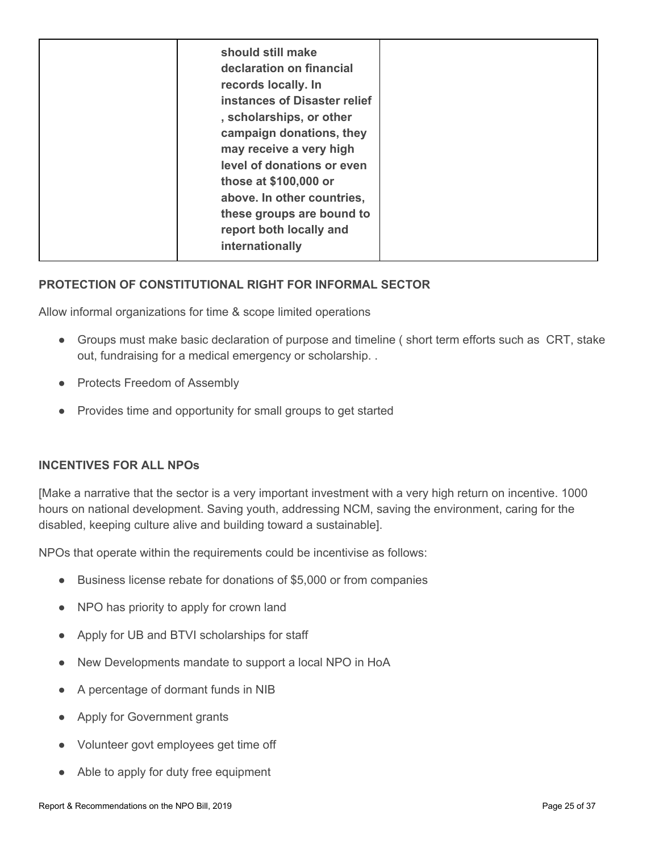| internationally |
|-----------------|
|-----------------|

### <span id="page-24-0"></span>**PROTECTION OF CONSTITUTIONAL RIGHT FOR INFORMAL SECTOR**

Allow informal organizations for time & scope limited operations

- Groups must make basic declaration of purpose and timeline ( short term efforts such as CRT, stake out, fundraising for a medical emergency or scholarship. .
- Protects Freedom of Assembly
- Provides time and opportunity for small groups to get started

### <span id="page-24-1"></span>**INCENTIVES FOR ALL NPOs**

[Make a narrative that the sector is a very important investment with a very high return on incentive. 1000 hours on national development. Saving youth, addressing NCM, saving the environment, caring for the disabled, keeping culture alive and building toward a sustainable].

NPOs that operate within the requirements could be incentivise as follows:

- Business license rebate for donations of \$5,000 or from companies
- NPO has priority to apply for crown land
- Apply for UB and BTVI scholarships for staff
- New Developments mandate to support a local NPO in HoA
- A percentage of dormant funds in NIB
- Apply for Government grants
- Volunteer govt employees get time off
- Able to apply for duty free equipment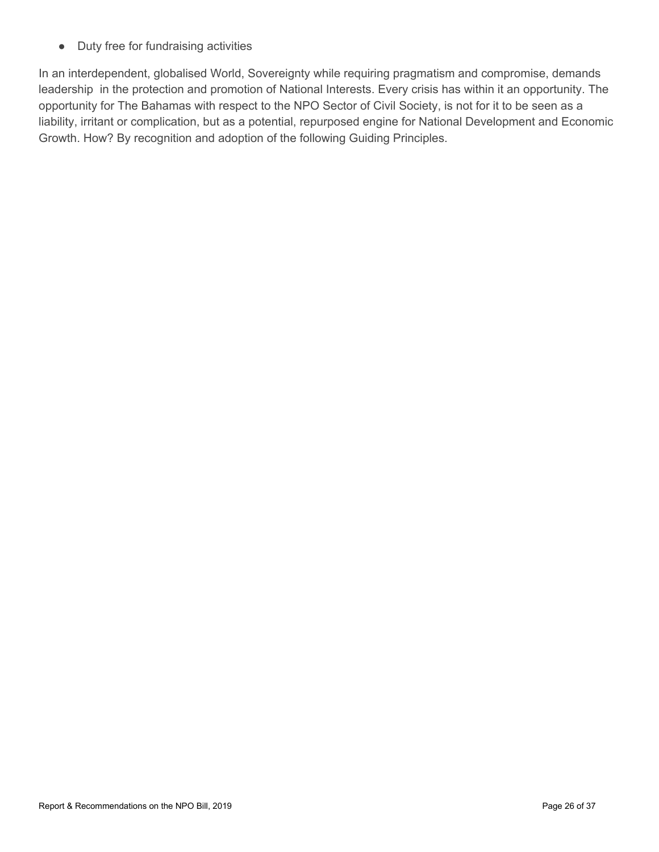● Duty free for fundraising activities

In an interdependent, globalised World, Sovereignty while requiring pragmatism and compromise, demands leadership in the protection and promotion of National Interests. Every crisis has within it an opportunity. The opportunity for The Bahamas with respect to the NPO Sector of Civil Society, is not for it to be seen as a liability, irritant or complication, but as a potential, repurposed engine for National Development and Economic Growth. How? By recognition and adoption of the following Guiding Principles.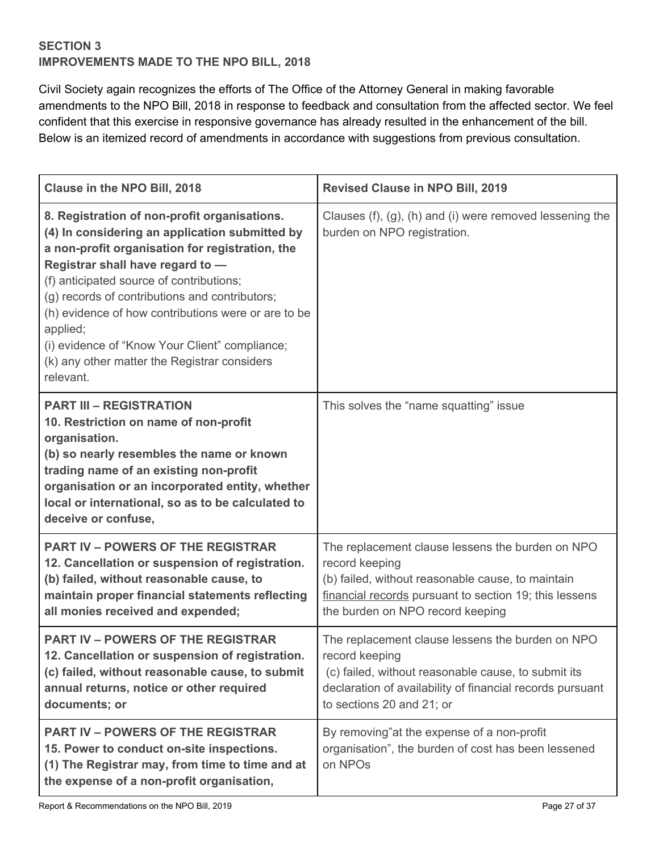### <span id="page-26-0"></span>**SECTION 3 IMPROVEMENTS MADE TO THE NPO BILL, 2018**

Civil Society again recognizes the efforts of The Office of the Attorney General in making favorable amendments to the NPO Bill, 2018 in response to feedback and consultation from the affected sector. We feel confident that this exercise in responsive governance has already resulted in the enhancement of the bill. Below is an itemized record of amendments in accordance with suggestions from previous consultation.

| Clause in the NPO Bill, 2018                                                                                                                                                                                                                                                                                                                                                                                                                                          | <b>Revised Clause in NPO Bill, 2019</b>                                                                                                                                                                               |
|-----------------------------------------------------------------------------------------------------------------------------------------------------------------------------------------------------------------------------------------------------------------------------------------------------------------------------------------------------------------------------------------------------------------------------------------------------------------------|-----------------------------------------------------------------------------------------------------------------------------------------------------------------------------------------------------------------------|
| 8. Registration of non-profit organisations.<br>(4) In considering an application submitted by<br>a non-profit organisation for registration, the<br>Registrar shall have regard to -<br>(f) anticipated source of contributions;<br>(g) records of contributions and contributors;<br>(h) evidence of how contributions were or are to be<br>applied;<br>(i) evidence of "Know Your Client" compliance;<br>(k) any other matter the Registrar considers<br>relevant. | Clauses $(f)$ , $(g)$ , $(h)$ and $(i)$ were removed lessening the<br>burden on NPO registration.                                                                                                                     |
| <b>PART III - REGISTRATION</b><br>10. Restriction on name of non-profit<br>organisation.<br>(b) so nearly resembles the name or known<br>trading name of an existing non-profit<br>organisation or an incorporated entity, whether<br>local or international, so as to be calculated to<br>deceive or confuse,                                                                                                                                                        | This solves the "name squatting" issue                                                                                                                                                                                |
| <b>PART IV - POWERS OF THE REGISTRAR</b><br>12. Cancellation or suspension of registration.<br>(b) failed, without reasonable cause, to<br>maintain proper financial statements reflecting<br>all monies received and expended;                                                                                                                                                                                                                                       | The replacement clause lessens the burden on NPO<br>record keeping<br>(b) failed, without reasonable cause, to maintain<br>financial records pursuant to section 19; this lessens<br>the burden on NPO record keeping |
| <b>PART IV - POWERS OF THE REGISTRAR</b><br>12. Cancellation or suspension of registration.<br>(c) failed, without reasonable cause, to submit<br>annual returns, notice or other required<br>documents; or                                                                                                                                                                                                                                                           | The replacement clause lessens the burden on NPO<br>record keeping<br>(c) failed, without reasonable cause, to submit its<br>declaration of availability of financial records pursuant<br>to sections 20 and 21; or   |
| <b>PART IV – POWERS OF THE REGISTRAR</b><br>15. Power to conduct on-site inspections.<br>(1) The Registrar may, from time to time and at<br>the expense of a non-profit organisation,                                                                                                                                                                                                                                                                                 | By removing" at the expense of a non-profit<br>organisation", the burden of cost has been lessened<br>on NPOs                                                                                                         |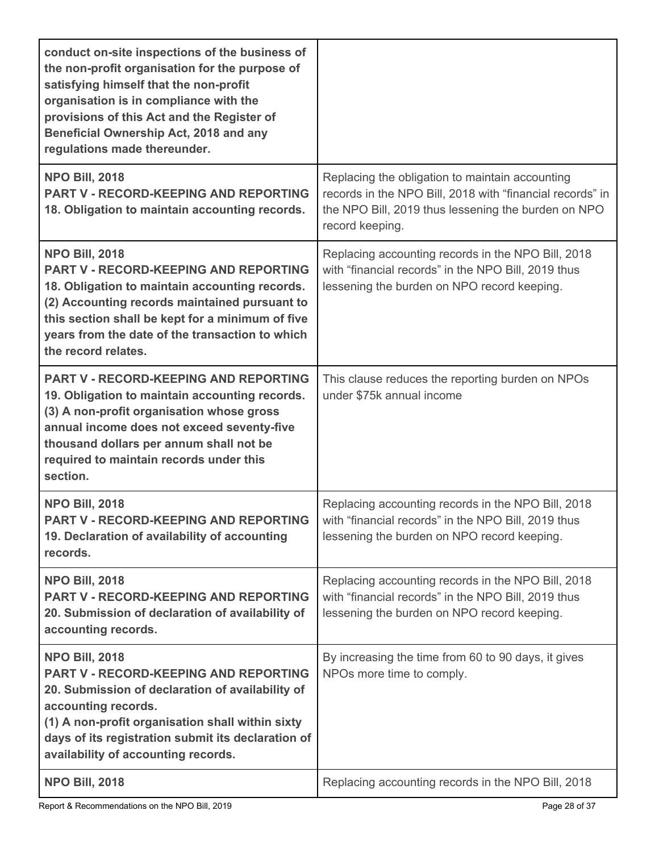| conduct on-site inspections of the business of<br>the non-profit organisation for the purpose of<br>satisfying himself that the non-profit<br>organisation is in compliance with the<br>provisions of this Act and the Register of<br>Beneficial Ownership Act, 2018 and any<br>regulations made thereunder. |                                                                                                                                                                                        |
|--------------------------------------------------------------------------------------------------------------------------------------------------------------------------------------------------------------------------------------------------------------------------------------------------------------|----------------------------------------------------------------------------------------------------------------------------------------------------------------------------------------|
| <b>NPO Bill, 2018</b><br><b>PART V - RECORD-KEEPING AND REPORTING</b><br>18. Obligation to maintain accounting records.                                                                                                                                                                                      | Replacing the obligation to maintain accounting<br>records in the NPO Bill, 2018 with "financial records" in<br>the NPO Bill, 2019 thus lessening the burden on NPO<br>record keeping. |
| <b>NPO Bill, 2018</b><br><b>PART V - RECORD-KEEPING AND REPORTING</b><br>18. Obligation to maintain accounting records.<br>(2) Accounting records maintained pursuant to<br>this section shall be kept for a minimum of five<br>years from the date of the transaction to which<br>the record relates.       | Replacing accounting records in the NPO Bill, 2018<br>with "financial records" in the NPO Bill, 2019 thus<br>lessening the burden on NPO record keeping.                               |
| <b>PART V - RECORD-KEEPING AND REPORTING</b><br>19. Obligation to maintain accounting records.<br>(3) A non-profit organisation whose gross<br>annual income does not exceed seventy-five<br>thousand dollars per annum shall not be<br>required to maintain records under this<br>section.                  | This clause reduces the reporting burden on NPOs<br>under \$75k annual income                                                                                                          |
| <b>NPO Bill, 2018</b><br><b>PART V - RECORD-KEEPING AND REPORTING</b><br>19. Declaration of availability of accounting<br>records.                                                                                                                                                                           | Replacing accounting records in the NPO Bill, 2018<br>with "financial records" in the NPO Bill, 2019 thus<br>lessening the burden on NPO record keeping.                               |
| <b>NPO Bill, 2018</b><br><b>PART V - RECORD-KEEPING AND REPORTING</b><br>20. Submission of declaration of availability of<br>accounting records.                                                                                                                                                             | Replacing accounting records in the NPO Bill, 2018<br>with "financial records" in the NPO Bill, 2019 thus<br>lessening the burden on NPO record keeping.                               |
| <b>NPO Bill, 2018</b><br><b>PART V - RECORD-KEEPING AND REPORTING</b><br>20. Submission of declaration of availability of<br>accounting records.<br>(1) A non-profit organisation shall within sixty<br>days of its registration submit its declaration of<br>availability of accounting records.            | By increasing the time from 60 to 90 days, it gives<br>NPOs more time to comply.                                                                                                       |
| <b>NPO Bill, 2018</b>                                                                                                                                                                                                                                                                                        | Replacing accounting records in the NPO Bill, 2018                                                                                                                                     |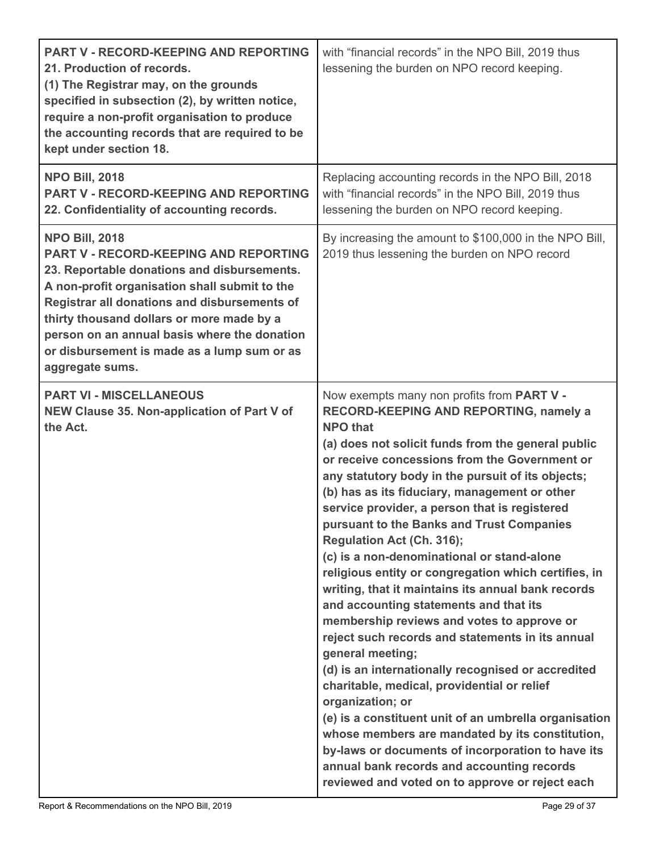| <b>PART V - RECORD-KEEPING AND REPORTING</b><br>21. Production of records.<br>(1) The Registrar may, on the grounds<br>specified in subsection (2), by written notice,<br>require a non-profit organisation to produce<br>the accounting records that are required to be<br>kept under section 18.                                                                                   | with "financial records" in the NPO Bill, 2019 thus<br>lessening the burden on NPO record keeping.                                                                                                                                                                                                                                                                                                                                                                                                                                                                                                                                                                                                                                                                                                                                                                                                                                                                                                                                                                                                                                                                     |
|--------------------------------------------------------------------------------------------------------------------------------------------------------------------------------------------------------------------------------------------------------------------------------------------------------------------------------------------------------------------------------------|------------------------------------------------------------------------------------------------------------------------------------------------------------------------------------------------------------------------------------------------------------------------------------------------------------------------------------------------------------------------------------------------------------------------------------------------------------------------------------------------------------------------------------------------------------------------------------------------------------------------------------------------------------------------------------------------------------------------------------------------------------------------------------------------------------------------------------------------------------------------------------------------------------------------------------------------------------------------------------------------------------------------------------------------------------------------------------------------------------------------------------------------------------------------|
| <b>NPO Bill, 2018</b><br><b>PART V - RECORD-KEEPING AND REPORTING</b><br>22. Confidentiality of accounting records.                                                                                                                                                                                                                                                                  | Replacing accounting records in the NPO Bill, 2018<br>with "financial records" in the NPO Bill, 2019 thus<br>lessening the burden on NPO record keeping.                                                                                                                                                                                                                                                                                                                                                                                                                                                                                                                                                                                                                                                                                                                                                                                                                                                                                                                                                                                                               |
| <b>NPO Bill, 2018</b><br><b>PART V - RECORD-KEEPING AND REPORTING</b><br>23. Reportable donations and disbursements.<br>A non-profit organisation shall submit to the<br>Registrar all donations and disbursements of<br>thirty thousand dollars or more made by a<br>person on an annual basis where the donation<br>or disbursement is made as a lump sum or as<br>aggregate sums. | By increasing the amount to \$100,000 in the NPO Bill,<br>2019 thus lessening the burden on NPO record                                                                                                                                                                                                                                                                                                                                                                                                                                                                                                                                                                                                                                                                                                                                                                                                                                                                                                                                                                                                                                                                 |
| <b>PART VI - MISCELLANEOUS</b><br>NEW Clause 35. Non-application of Part V of<br>the Act.                                                                                                                                                                                                                                                                                            | Now exempts many non profits from PART V -<br>RECORD-KEEPING AND REPORTING, namely a<br><b>NPO that</b><br>(a) does not solicit funds from the general public<br>or receive concessions from the Government or<br>any statutory body in the pursuit of its objects;<br>(b) has as its fiduciary, management or other<br>service provider, a person that is registered<br>pursuant to the Banks and Trust Companies<br>Regulation Act (Ch. 316);<br>(c) is a non-denominational or stand-alone<br>religious entity or congregation which certifies, in<br>writing, that it maintains its annual bank records<br>and accounting statements and that its<br>membership reviews and votes to approve or<br>reject such records and statements in its annual<br>general meeting;<br>(d) is an internationally recognised or accredited<br>charitable, medical, providential or relief<br>organization; or<br>(e) is a constituent unit of an umbrella organisation<br>whose members are mandated by its constitution,<br>by-laws or documents of incorporation to have its<br>annual bank records and accounting records<br>reviewed and voted on to approve or reject each |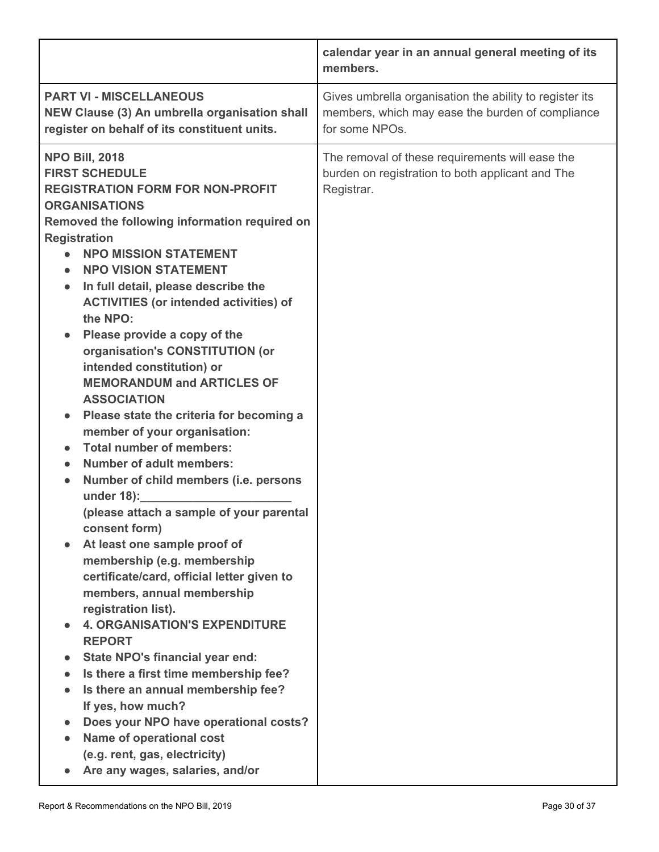|                                                                                                                                                                                                                                                                                                                                                                                                                                                                                                                                                                                                                                                                                                                                                                                                                                                                                                                                                                                                                                                                                                                                                                                                                                                                                                                                                                  | calendar year in an annual general meeting of its<br>members.                                                                 |
|------------------------------------------------------------------------------------------------------------------------------------------------------------------------------------------------------------------------------------------------------------------------------------------------------------------------------------------------------------------------------------------------------------------------------------------------------------------------------------------------------------------------------------------------------------------------------------------------------------------------------------------------------------------------------------------------------------------------------------------------------------------------------------------------------------------------------------------------------------------------------------------------------------------------------------------------------------------------------------------------------------------------------------------------------------------------------------------------------------------------------------------------------------------------------------------------------------------------------------------------------------------------------------------------------------------------------------------------------------------|-------------------------------------------------------------------------------------------------------------------------------|
| <b>PART VI - MISCELLANEOUS</b><br>NEW Clause (3) An umbrella organisation shall<br>register on behalf of its constituent units.                                                                                                                                                                                                                                                                                                                                                                                                                                                                                                                                                                                                                                                                                                                                                                                                                                                                                                                                                                                                                                                                                                                                                                                                                                  | Gives umbrella organisation the ability to register its<br>members, which may ease the burden of compliance<br>for some NPOs. |
| <b>NPO Bill, 2018</b><br><b>FIRST SCHEDULE</b><br><b>REGISTRATION FORM FOR NON-PROFIT</b><br><b>ORGANISATIONS</b><br>Removed the following information required on<br><b>Registration</b><br><b>NPO MISSION STATEMENT</b><br><b>NPO VISION STATEMENT</b><br>$\bullet$<br>In full detail, please describe the<br>$\bullet$<br><b>ACTIVITIES (or intended activities) of</b><br>the NPO:<br>Please provide a copy of the<br>organisation's CONSTITUTION (or<br>intended constitution) or<br><b>MEMORANDUM and ARTICLES OF</b><br><b>ASSOCIATION</b><br>Please state the criteria for becoming a<br>member of your organisation:<br><b>Total number of members:</b><br><b>Number of adult members:</b><br>$\bullet$<br>Number of child members (i.e. persons<br>$\bullet$<br>under 18):<br>(please attach a sample of your parental<br>consent form)<br>At least one sample proof of<br>membership (e.g. membership<br>certificate/card, official letter given to<br>members, annual membership<br>registration list).<br><b>4. ORGANISATION'S EXPENDITURE</b><br><b>REPORT</b><br>State NPO's financial year end:<br>$\bullet$<br>Is there a first time membership fee?<br>$\bullet$<br>Is there an annual membership fee?<br>$\bullet$<br>If yes, how much?<br>Does your NPO have operational costs?<br>Name of operational cost<br>(e.g. rent, gas, electricity) | The removal of these requirements will ease the<br>burden on registration to both applicant and The<br>Registrar.             |
| Are any wages, salaries, and/or                                                                                                                                                                                                                                                                                                                                                                                                                                                                                                                                                                                                                                                                                                                                                                                                                                                                                                                                                                                                                                                                                                                                                                                                                                                                                                                                  |                                                                                                                               |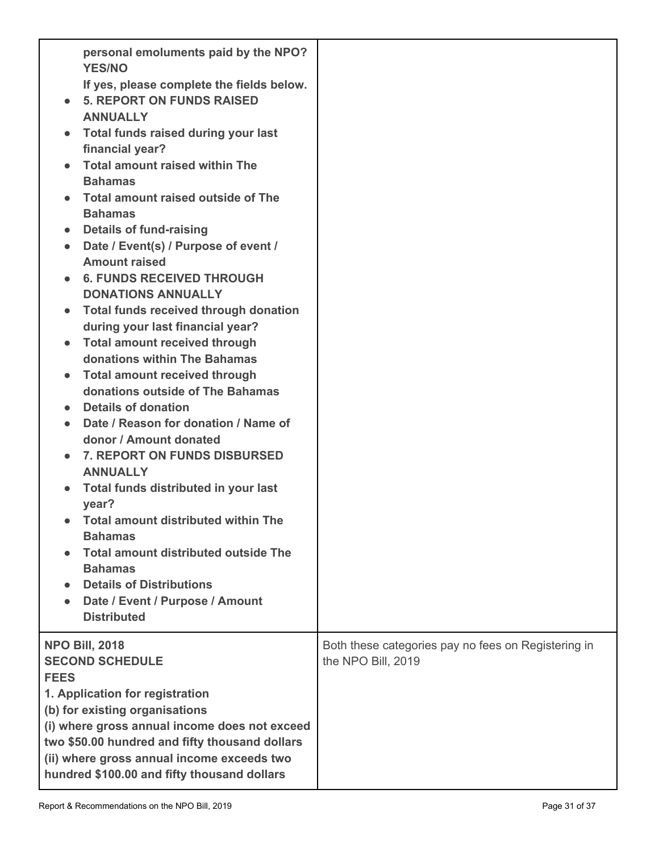| If yes, please complete the fields below.<br><b>5. REPORT ON FUNDS RAISED</b><br><b>ANNUALLY</b><br>Total funds raised during your last<br>financial year?<br><b>Total amount raised within The</b><br><b>Bahamas</b><br>Total amount raised outside of The<br><b>Bahamas</b><br><b>Details of fund-raising</b><br>$\bullet$<br>Date / Event(s) / Purpose of event /<br>$\bullet$<br><b>Amount raised</b><br><b>6. FUNDS RECEIVED THROUGH</b><br><b>DONATIONS ANNUALLY</b><br>Total funds received through donation<br>during your last financial year?<br><b>Total amount received through</b><br>donations within The Bahamas<br><b>Total amount received through</b><br>donations outside of The Bahamas<br><b>Details of donation</b><br>Date / Reason for donation / Name of<br>$\bullet$<br>donor / Amount donated<br>7. REPORT ON FUNDS DISBURSED<br>$\bullet$<br><b>ANNUALLY</b><br>Total funds distributed in your last<br>$\bullet$<br>year?<br>• Total amount distributed within The<br><b>Bahamas</b><br><b>Total amount distributed outside The</b><br><b>Bahamas</b><br><b>Details of Distributions</b><br>Date / Event / Purpose / Amount<br><b>Distributed</b> |                                                                           |
|--------------------------------------------------------------------------------------------------------------------------------------------------------------------------------------------------------------------------------------------------------------------------------------------------------------------------------------------------------------------------------------------------------------------------------------------------------------------------------------------------------------------------------------------------------------------------------------------------------------------------------------------------------------------------------------------------------------------------------------------------------------------------------------------------------------------------------------------------------------------------------------------------------------------------------------------------------------------------------------------------------------------------------------------------------------------------------------------------------------------------------------------------------------------------------|---------------------------------------------------------------------------|
| <b>NPO Bill, 2018</b><br><b>SECOND SCHEDULE</b><br><b>FEES</b><br>1. Application for registration<br>(b) for existing organisations<br>(i) where gross annual income does not exceed<br>two \$50.00 hundred and fifty thousand dollars<br>(ii) where gross annual income exceeds two<br>hundred \$100.00 and fifty thousand dollars                                                                                                                                                                                                                                                                                                                                                                                                                                                                                                                                                                                                                                                                                                                                                                                                                                            | Both these categories pay no fees on Registering in<br>the NPO Bill, 2019 |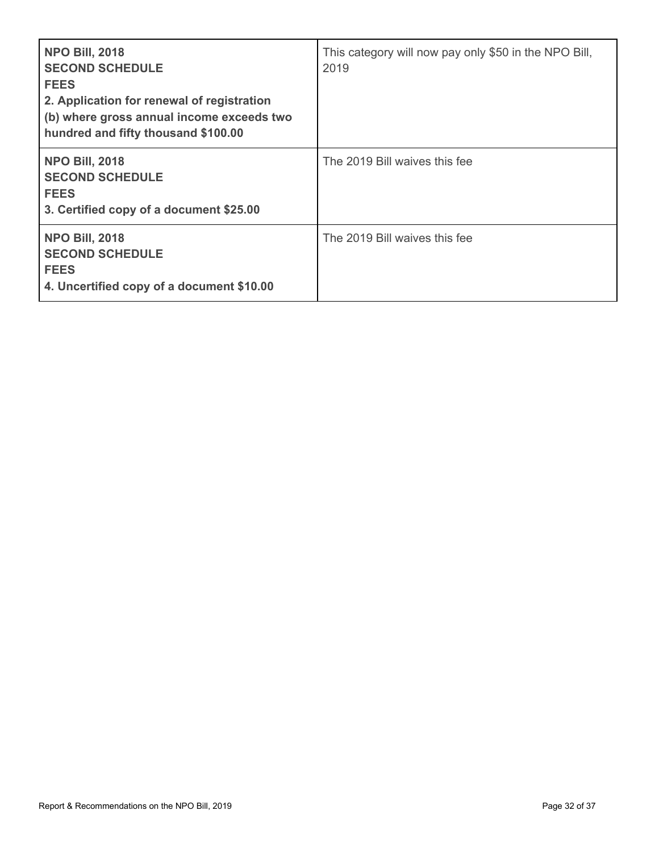| <b>NPO Bill, 2018</b><br><b>SECOND SCHEDULE</b><br><b>FEES</b><br>2. Application for renewal of registration<br>(b) where gross annual income exceeds two<br>hundred and fifty thousand \$100.00 | This category will now pay only \$50 in the NPO Bill,<br>2019 |
|--------------------------------------------------------------------------------------------------------------------------------------------------------------------------------------------------|---------------------------------------------------------------|
| <b>NPO Bill, 2018</b><br><b>SECOND SCHEDULE</b><br><b>FEES</b><br>3. Certified copy of a document \$25.00                                                                                        | The 2019 Bill waives this fee                                 |
| <b>NPO Bill, 2018</b><br><b>SECOND SCHEDULE</b><br><b>FEES</b><br>4. Uncertified copy of a document \$10.00                                                                                      | The 2019 Bill waives this fee                                 |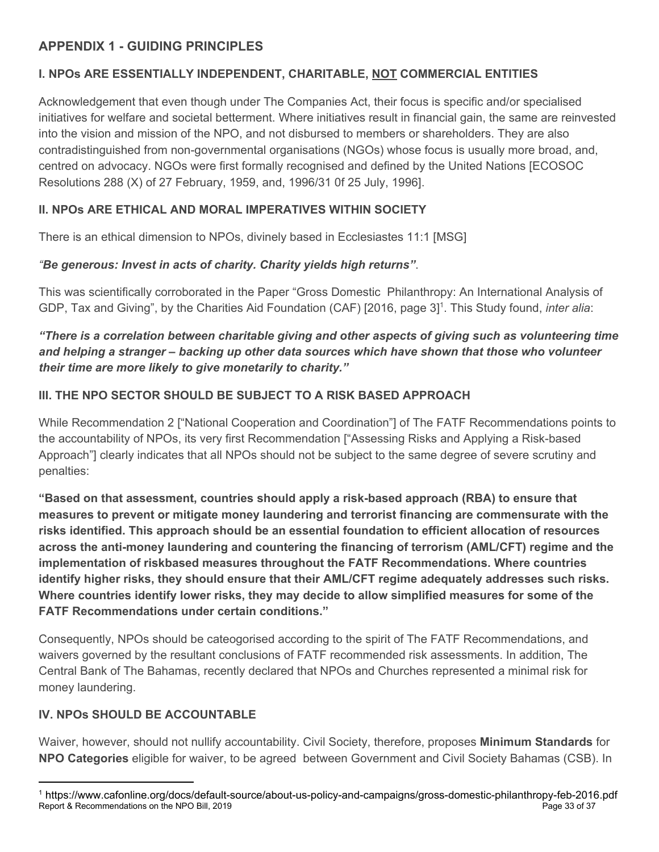# <span id="page-32-0"></span>**APPENDIX 1 - GUIDING PRINCIPLES**

# <span id="page-32-1"></span>**I. NPOs ARE ESSENTIALLY INDEPENDENT, CHARITABLE, NOT COMMERCIAL ENTITIES**

Acknowledgement that even though under The Companies Act, their focus is specific and/or specialised initiatives for welfare and societal betterment. Where initiatives result in financial gain, the same are reinvested into the vision and mission of the NPO, and not disbursed to members or shareholders. They are also contradistinguished from non-governmental organisations (NGOs) whose focus is usually more broad, and, centred on advocacy. NGOs were first formally recognised and defined by the United Nations [ECOSOC Resolutions 288 (X) of 27 February, 1959, and, 1996/31 0f 25 July, 1996].

# <span id="page-32-2"></span>**II. NPOs ARE ETHICAL AND MORAL IMPERATIVES WITHIN SOCIETY**

There is an ethical dimension to NPOs, divinely based in Ecclesiastes 11:1 [MSG]

# *"Be generous: Invest in acts of charity. Charity yields high returns"*.

This was scientifically corroborated in the Paper "Gross Domestic Philanthropy: An International Analysis of GDP, Tax and Giving", by the Charities Aid Foundation (CAF) [2016, page 3]<sup>1</sup>. This Study found, *inter alia*:

# *"There is a correlation between charitable giving and other aspects of giving such as volunteering time and helping a stranger – backing up other data sources which have shown that those who volunteer their time are more likely to give monetarily to charity."*

# <span id="page-32-3"></span>**III. THE NPO SECTOR SHOULD BE SUBJECT TO A RISK BASED APPROACH**

While Recommendation 2 ["National Cooperation and Coordination"] of The FATF Recommendations points to the accountability of NPOs, its very first Recommendation ["Assessing Risks and Applying a Risk-based Approach"] clearly indicates that all NPOs should not be subject to the same degree of severe scrutiny and penalties:

**"Based on that assessment, countries should apply a risk-based approach (RBA) to ensure that measures to prevent or mitigate money laundering and terrorist financing are commensurate with the risks identified. This approach should be an essential foundation to efficient allocation of resources across the anti-money laundering and countering the financing of terrorism (AML/CFT) regime and the implementation of riskbased measures throughout the FATF Recommendations. Where countries identify higher risks, they should ensure that their AML/CFT regime adequately addresses such risks. Where countries identify lower risks, they may decide to allow simplified measures for some of the FATF Recommendations under certain conditions."**

Consequently, NPOs should be cateogorised according to the spirit of The FATF Recommendations, and waivers governed by the resultant conclusions of FATF recommended risk assessments. In addition, The Central Bank of The Bahamas, recently declared that NPOs and Churches represented a minimal risk for money laundering.

# <span id="page-32-4"></span>**IV. NPOs SHOULD BE ACCOUNTABLE**

Waiver, however, should not nullify accountability. Civil Society, therefore, proposes **Minimum Standards** for **NPO Categories** eligible for waiver, to be agreed between Government and Civil Society Bahamas (CSB). In

<sup>1</sup> https://www.cafonline.org/docs/default-source/about-us-policy-and-campaigns/gross-domestic-philanthropy-feb-2016.pdf Report & Recommendations on the NPO Bill, 2019 Page 33 of 37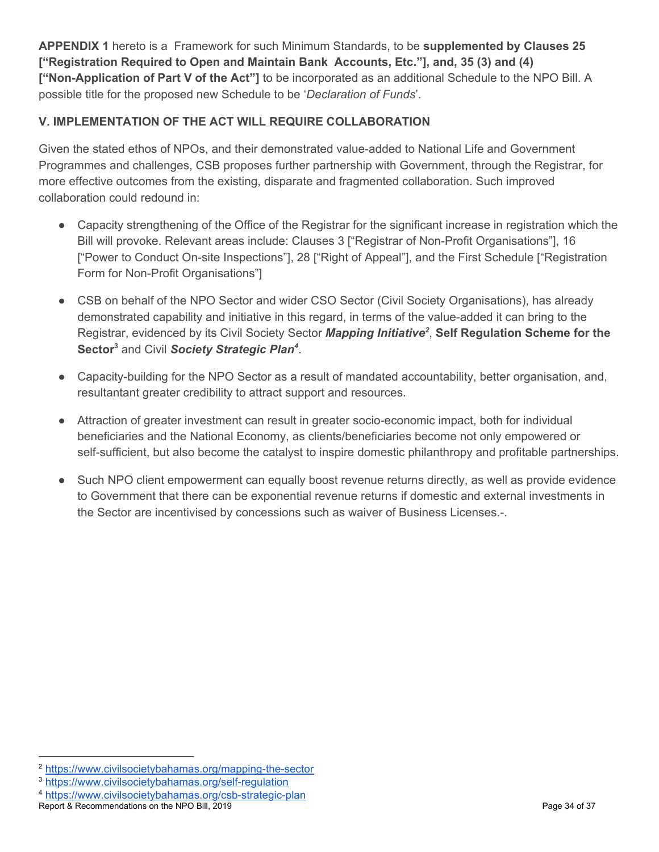**APPENDIX 1** hereto is a Framework for such Minimum Standards, to be **supplemented by Clauses 25 ["Registration Required to Open and Maintain Bank Accounts, Etc."], and, 35 (3) and (4) ["Non-Application of Part V of the Act"]** to be incorporated as an additional Schedule to the NPO Bill. A possible title for the proposed new Schedule to be '*Declaration of Funds*'.

# <span id="page-33-0"></span>**V. IMPLEMENTATION OF THE ACT WILL REQUIRE COLLABORATION**

Given the stated ethos of NPOs, and their demonstrated value-added to National Life and Government Programmes and challenges, CSB proposes further partnership with Government, through the Registrar, for more effective outcomes from the existing, disparate and fragmented collaboration. Such improved collaboration could redound in:

- Capacity strengthening of the Office of the Registrar for the significant increase in registration which the Bill will provoke. Relevant areas include: Clauses 3 ["Registrar of Non-Profit Organisations"], 16 ["Power to Conduct On-site Inspections"], 28 ["Right of Appeal"], and the First Schedule ["Registration Form for Non-Profit Organisations"]
- CSB on behalf of the NPO Sector and wider CSO Sector (Civil Society Organisations), has already demonstrated capability and initiative in this regard, in terms of the value-added it can bring to the Registrar, evidenced by its Civil Society Sector *Mapping Initiative*<sup>2</sup>, Self Regulation Scheme for the Sector<sup>3</sup> and Civil Society Strategic Plan<sup>4</sup>.
- Capacity-building for the NPO Sector as a result of mandated accountability, better organisation, and, resultantant greater credibility to attract support and resources.
- Attraction of greater investment can result in greater socio-economic impact, both for individual beneficiaries and the National Economy, as clients/beneficiaries become not only empowered or self-sufficient, but also become the catalyst to inspire domestic philanthropy and profitable partnerships.
- Such NPO client empowerment can equally boost revenue returns directly, as well as provide evidence to Government that there can be exponential revenue returns if domestic and external investments in the Sector are incentivised by concessions such as waiver of Business Licenses.-.

<sup>2</sup> <https://www.civilsocietybahamas.org/mapping-the-sector>

<sup>3</sup> <https://www.civilsocietybahamas.org/self-regulation>

<sup>4</sup> <https://www.civilsocietybahamas.org/csb-strategic-plan>

Report & Recommendations on the NPO Bill, 2019 Page 34 of 37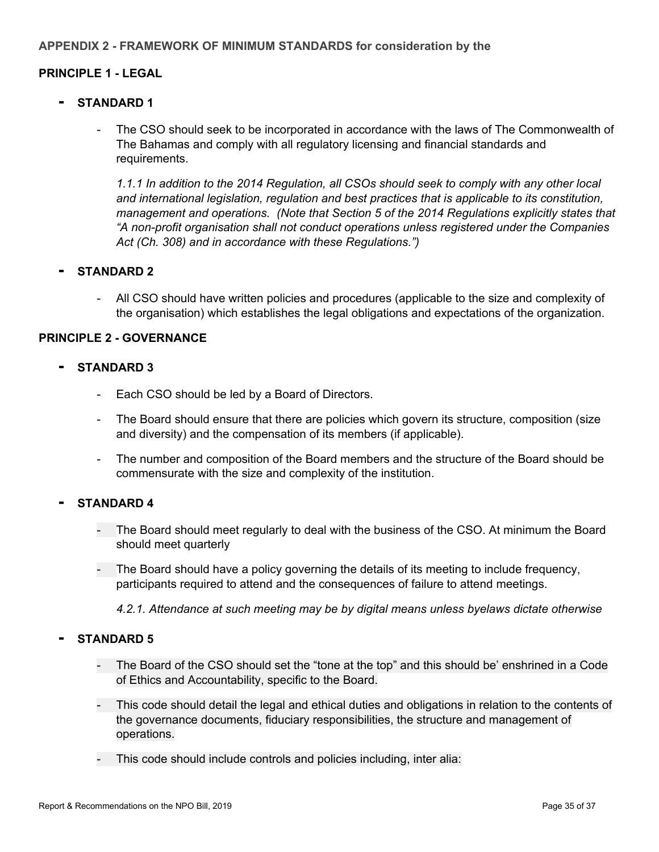### <span id="page-34-1"></span><span id="page-34-0"></span>**PRINCIPLE 1 - LEGAL**

- <span id="page-34-2"></span>**- STANDARD <sup>1</sup>**
	- The CSO should seek to be incorporated in accordance with the laws of The Commonwealth of The Bahamas and comply with all regulatory licensing and financial standards and requirements.

*1.1.1 In addition to the 2014 Regulation, all CSOs should seek to comply with any other local and international legislation, regulation and best practices that is applicable to its constitution, management and operations. (Note that Section 5 of the 2014 Regulations explicitly states that "A non-profit organisation shall not conduct operations unless registered under the Companies Act (Ch. 308) and in accordance with these Regulations.")*

### <span id="page-34-3"></span>**- STANDARD <sup>2</sup>**

- All CSO should have written policies and procedures (applicable to the size and complexity of the organisation) which establishes the legal obligations and expectations of the organization.

### <span id="page-34-4"></span>**PRINCIPLE 2 - GOVERNANCE**

#### <span id="page-34-5"></span>**- STANDARD <sup>3</sup>**

- Each CSO should be led by a Board of Directors.
- The Board should ensure that there are policies which govern its structure, composition (size and diversity) and the compensation of its members (if applicable).
- The number and composition of the Board members and the structure of the Board should be commensurate with the size and complexity of the institution.

### <span id="page-34-6"></span>**- STANDARD <sup>4</sup>**

- The Board should meet regularly to deal with the business of the CSO. At minimum the Board should meet quarterly
- The Board should have a policy governing the details of its meeting to include frequency, participants required to attend and the consequences of failure to attend meetings.

*4.2.1. Attendance at such meeting may be by digital means unless byelaws dictate otherwise*

### <span id="page-34-7"></span>**- STANDARD <sup>5</sup>**

- The Board of the CSO should set the "tone at the top" and this should be' enshrined in a Code of Ethics and Accountability, specific to the Board.
- This code should detail the legal and ethical duties and obligations in relation to the contents of the governance documents, fiduciary responsibilities, the structure and management of operations.
- This code should include controls and policies including, inter alia: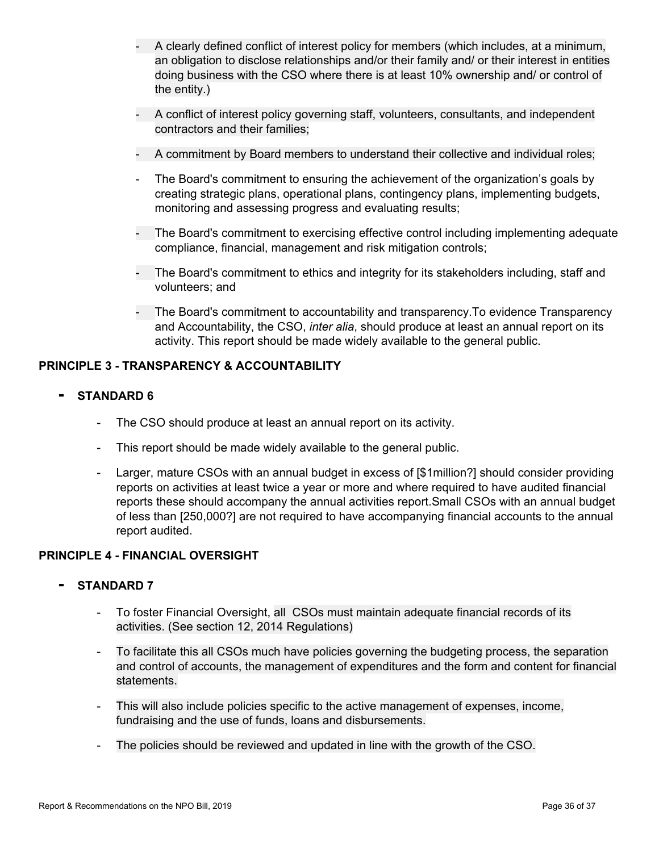- A clearly defined conflict of interest policy for members (which includes, at a minimum, an obligation to disclose relationships and/or their family and/ or their interest in entities doing business with the CSO where there is at least 10% ownership and/ or control of the entity.)
- A conflict of interest policy governing staff, volunteers, consultants, and independent contractors and their families;
- A commitment by Board members to understand their collective and individual roles;
- The Board's commitment to ensuring the achievement of the organization's goals by creating strategic plans, operational plans, contingency plans, implementing budgets, monitoring and assessing progress and evaluating results;
- The Board's commitment to exercising effective control including implementing adequate compliance, financial, management and risk mitigation controls;
- The Board's commitment to ethics and integrity for its stakeholders including, staff and volunteers; and
- The Board's commitment to accountability and transparency.To evidence Transparency and Accountability, the CSO, *inter alia*, should produce at least an annual report on its activity. This report should be made widely available to the general public.

### <span id="page-35-0"></span>**PRINCIPLE 3 - TRANSPARENCY & ACCOUNTABILITY**

- <span id="page-35-1"></span>**- STANDARD <sup>6</sup>**
	- The CSO should produce at least an annual report on its activity.
	- This report should be made widely available to the general public.
	- Larger, mature CSOs with an annual budget in excess of [\$1million?] should consider providing reports on activities at least twice a year or more and where required to have audited financial reports these should accompany the annual activities report.Small CSOs with an annual budget of less than [250,000?] are not required to have accompanying financial accounts to the annual report audited.

### <span id="page-35-2"></span>**PRINCIPLE 4 - FINANCIAL OVERSIGHT**

### <span id="page-35-3"></span>**- STANDARD <sup>7</sup>**

- To foster Financial Oversight, all CSOs must maintain adequate financial records of its activities. (See section 12, 2014 Regulations)
- To facilitate this all CSOs much have policies governing the budgeting process, the separation and control of accounts, the management of expenditures and the form and content for financial statements.
- This will also include policies specific to the active management of expenses, income, fundraising and the use of funds, loans and disbursements.
- The policies should be reviewed and updated in line with the growth of the CSO.